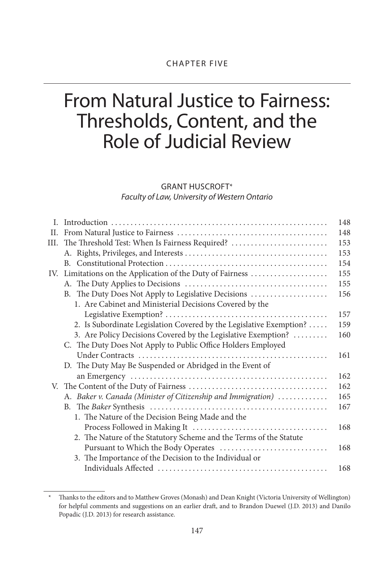## **CHAPTER FIVE**

# From Natural Justice to Fairness: Thresholds, Content, and the Role of Judicial Review

## GRANT HUSCROFT\*

*Faculty of Law, University of Western Ontario*

| L.   |                                                                     | 148 |
|------|---------------------------------------------------------------------|-----|
| П.   |                                                                     | 148 |
| III. | The Threshold Test: When Is Fairness Required?                      | 153 |
|      |                                                                     | 153 |
|      |                                                                     | 154 |
|      | IV. Limitations on the Application of the Duty of Fairness          | 155 |
|      |                                                                     | 155 |
|      | B. The Duty Does Not Apply to Legislative Decisions                 | 156 |
|      | 1. Are Cabinet and Ministerial Decisions Covered by the             |     |
|      |                                                                     | 157 |
|      | 2. Is Subordinate Legislation Covered by the Legislative Exemption? | 159 |
|      | 3. Are Policy Decisions Covered by the Legislative Exemption?       | 160 |
|      | C. The Duty Does Not Apply to Public Office Holders Employed        |     |
|      |                                                                     | 161 |
|      | D. The Duty May Be Suspended or Abridged in the Event of            |     |
|      |                                                                     | 162 |
|      |                                                                     | 162 |
|      | A. Baker v. Canada (Minister of Citizenship and Immigration)        | 165 |
|      |                                                                     | 167 |
|      | 1. The Nature of the Decision Being Made and the                    |     |
|      |                                                                     | 168 |
|      | 2. The Nature of the Statutory Scheme and the Terms of the Statute  |     |
|      | Pursuant to Which the Body Operates                                 | 168 |
|      | 3. The Importance of the Decision to the Individual or              |     |
|      |                                                                     | 168 |

Thanks to the editors and to Matthew Groves (Monash) and Dean Knight (Victoria University of Wellington) for helpful comments and suggestions on an earlier draft, and to Brandon Duewel (J.D. 2013) and Danilo Popadic (J.D. 2013) for research assistance.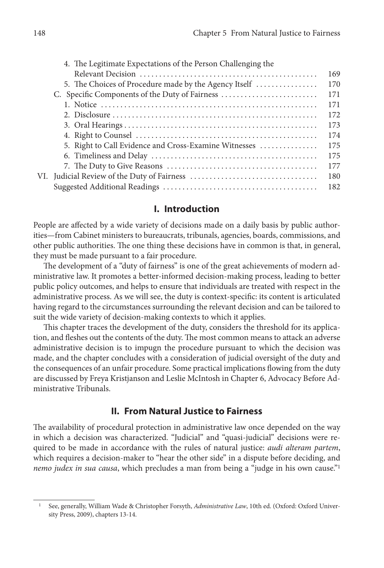<span id="page-1-0"></span>

| 4. The Legitimate Expectations of the Person Challenging the |     |
|--------------------------------------------------------------|-----|
|                                                              | 169 |
| 5. The Choices of Procedure made by the Agency Itself        | 170 |
| C. Specific Components of the Duty of Fairness               | 171 |
|                                                              | 171 |
|                                                              | 172 |
|                                                              | 173 |
|                                                              | 174 |
| 5. Right to Call Evidence and Cross-Examine Witnesses        | 175 |
|                                                              | 175 |
|                                                              | 177 |
|                                                              | 180 |
|                                                              | 182 |

### **I. Introduction**

People are affected by a wide variety of decisions made on a daily basis by public authorities—from Cabinet ministers to bureaucrats, tribunals, agencies, boards, commissions, and other public authorities. The one thing these decisions have in common is that, in general, they must be made pursuant to a fair procedure.

The development of a "duty of fairness" is one of the great achievements of modern administrative law. It promotes a better-informed decision-making process, leading to better public policy outcomes, and helps to ensure that individuals are treated with respect in the administrative process. As we will see, the duty is context-specific: its content is articulated having regard to the circumstances surrounding the relevant decision and can be tailored to suit the wide variety of decision-making contexts to which it applies.

This chapter traces the development of the duty, considers the threshold for its application, and fleshes out the contents of the duty. The most common means to attack an adverse administrative decision is to impugn the procedure pursuant to which the decision was made, and the chapter concludes with a consideration of judicial oversight of the duty and the consequences of an unfair procedure. Some practical implications flowing from the duty are discussed by Freya Kristjanson and Leslie McIntosh in Chapter 6, Advocacy Before Administrative Tribunals.

## **II. From Natural Justice to Fairness**

The availability of procedural protection in administrative law once depended on the way in which a decision was characterized. "Judicial" and "quasi-judicial" decisions were required to be made in accordance with the rules of natural justice: *audi alteram partem*, which requires a decision-maker to "hear the other side" in a dispute before deciding, and *nemo judex in sua causa*, which precludes a man from being a "judge in his own cause."1

See, generally, William Wade & Christopher Forsyth, *Administrative Law*, 10th ed. (Oxford: Oxford University Press, 2009), chapters 13-14.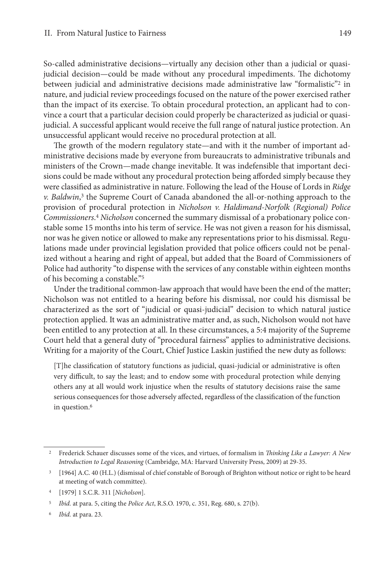So-called administrative decisions—virtually any decision other than a judicial or quasijudicial decision—could be made without any procedural impediments. The dichotomy between judicial and administrative decisions made administrative law "formalistic"<sup>2</sup> in nature, and judicial review proceedings focused on the nature of the power exercised rather than the impact of its exercise. To obtain procedural protection, an applicant had to convince a court that a particular decision could properly be characterized as judicial or quasijudicial. A successful applicant would receive the full range of natural justice protection. An unsuccessful applicant would receive no procedural protection at all.

The growth of the modern regulatory state—and with it the number of important administrative decisions made by everyone from bureaucrats to administrative tribunals and ministers of the Crown—made change inevitable. It was indefensible that important decisions could be made without any procedural protection being afforded simply because they were classified as administrative in nature. Following the lead of the House of Lords in *Ridge v. Baldwin*, <sup>3</sup> the Supreme Court of Canada abandoned the all-or-nothing approach to the provision of procedural protection in *Nicholson v. Haldimand-Norfolk (Regional) Police Commissioners*. <sup>4</sup> *Nicholson* concerned the summary dismissal of a probationary police constable some 15 months into his term of service. He was not given a reason for his dismissal, nor was he given notice or allowed to make any representations prior to his dismissal. Regulations made under provincial legislation provided that police officers could not be penalized without a hearing and right of appeal, but added that the Board of Commissioners of Police had authority "to dispense with the services of any constable within eighteen months of his becoming a constable."5

Under the traditional common-law approach that would have been the end of the matter; Nicholson was not entitled to a hearing before his dismissal, nor could his dismissal be characterized as the sort of "judicial or quasi-judicial" decision to which natural justice protection applied. It was an administrative matter and, as such, Nicholson would not have been entitled to any protection at all. In these circumstances, a 5:4 majority of the Supreme Court held that a general duty of "procedural fairness" applies to administrative decisions. Writing for a majority of the Court, Chief Justice Laskin justified the new duty as follows:

[T]he classification of statutory functions as judicial, quasi-judicial or administrative is often very difficult, to say the least; and to endow some with procedural protection while denying others any at all would work injustice when the results of statutory decisions raise the same serious consequences for those adversely affected, regardless of the classification of the function in question.<sup>6</sup>

<sup>2</sup> Frederick Schauer discusses some of the vices, and virtues, of formalism in *Thinking Like a Lawyer: A New Introduction to Legal Reasoning* (Cambridge, MA: Harvard University Press, 2009) at 29-35.

<sup>3 [1964]</sup> A.C. 40 (H.L.) (dismissal of chief constable of Borough of Brighton without notice or right to be heard at meeting of watch committee).

<sup>[1979] 1</sup> S.C.R. 311 [*Nicholson*].

<sup>5</sup> *Ibid.* at para. 5, citing the *Police Act*, R.S.O. 1970, c. 351, Reg. 680, s. 27(b).

<sup>6</sup> *Ibid.* at para. 23.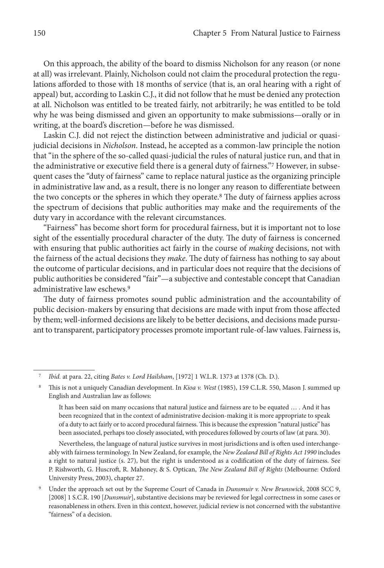On this approach, the ability of the board to dismiss Nicholson for any reason (or none at all) was irrelevant. Plainly, Nicholson could not claim the procedural protection the regulations afforded to those with 18 months of service (that is, an oral hearing with a right of appeal) but, according to Laskin C.J., it did not follow that he must be denied any protection at all. Nicholson was entitled to be treated fairly, not arbitrarily; he was entitled to be told why he was being dismissed and given an opportunity to make submissions—orally or in writing, at the board's discretion—before he was dismissed.

Laskin C.J. did not reject the distinction between administrative and judicial or quasijudicial decisions in *Nicholson*. Instead, he accepted as a common-law principle the notion that "in the sphere of the so-called quasi-judicial the rules of natural justice run, and that in the administrative or executive field there is a general duty of fairness."7 However, in subsequent cases the "duty of fairness" came to replace natural justice as the organizing principle in administrative law and, as a result, there is no longer any reason to differentiate between the two concepts or the spheres in which they operate.8 The duty of fairness applies across the spectrum of decisions that public authorities may make and the requirements of the duty vary in accordance with the relevant circumstances.

"Fairness" has become short form for procedural fairness, but it is important not to lose sight of the essentially procedural character of the duty. The duty of fairness is concerned with ensuring that public authorities act fairly in the course of *making* decisions, not with the fairness of the actual decisions they *make*. The duty of fairness has nothing to say about the outcome of particular decisions, and in particular does not require that the decisions of public authorities be considered "fair"—a subjective and contestable concept that Canadian administrative law eschews.9

The duty of fairness promotes sound public administration and the accountability of public decision-makers by ensuring that decisions are made with input from those affected by them; well-informed decisions are likely to be better decisions, and decisions made pursuant to transparent, participatory processes promote important rule-of-law values. Fairness is,

<sup>7</sup> *Ibid.* at para. 22, citing *Bates v. Lord Hailsham*, [1972] 1 W.L.R. 1373 at 1378 (Ch. D.).

<sup>8</sup> This is not a uniquely Canadian development. In *Kioa v. West* (1985), 159 C.L.R. 550, Mason J. summed up English and Australian law as follows:

It has been said on many occasions that natural justice and fairness are to be equated … . And it has been recognized that in the context of administrative decision-making it is more appropriate to speak of a duty to act fairly or to accord procedural fairness. This is because the expression "natural justice" has been associated, perhaps too closely associated, with procedures followed by courts of law (at para. 30).

Nevertheless, the language of natural justice survives in most jurisdictions and is often used interchangeably with fairness terminology. In New Zealand, for example, the *New Zealand Bill of Rights Act 1990* includes a right to natural justice (s. 27), but the right is understood as a codification of the duty of fairness. See P. Rishworth, G. Huscroft, R. Mahoney, & S. Optican, *The New Zealand Bill of Rights* (Melbourne: Oxford University Press, 2003), chapter 27.

Under the approach set out by the Supreme Court of Canada in *Dunsmuir v. New Brunswick*, 2008 SCC 9, [2008] 1 S.C.R. 190 [*Dunsmuir*], substantive decisions may be reviewed for legal correctness in some cases or reasonableness in others. Even in this context, however, judicial review is not concerned with the substantive "fairness" of a decision.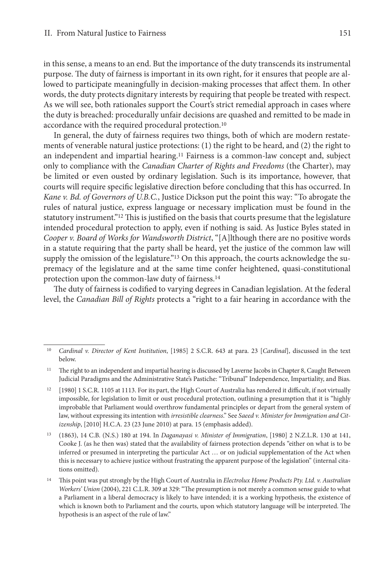in this sense, a means to an end. But the importance of the duty transcends its instrumental purpose. The duty of fairness is important in its own right, for it ensures that people are allowed to participate meaningfully in decision-making processes that affect them. In other words, the duty protects dignitary interests by requiring that people be treated with respect. As we will see, both rationales support the Court's strict remedial approach in cases where the duty is breached: procedurally unfair decisions are quashed and remitted to be made in accordance with the required procedural protection.10

In general, the duty of fairness requires two things, both of which are modern restatements of venerable natural justice protections: (1) the right to be heard, and (2) the right to an independent and impartial hearing.11 Fairness is a common-law concept and, subject only to compliance with the *Canadian Charter of Rights and Freedoms* (the Charter), may be limited or even ousted by ordinary legislation. Such is its importance, however, that courts will require specific legislative direction before concluding that this has occurred. In *Kane v. Bd. of Governors of U.B.C.*, Justice Dickson put the point this way: "To abrogate the rules of natural justice, express language or necessary implication must be found in the statutory instrument."<sup>12</sup> This is justified on the basis that courts presume that the legislature intended procedural protection to apply, even if nothing is said. As Justice Byles stated in *Cooper v. Board of Works for Wandsworth District*, "[A]lthough there are no positive words in a statute requiring that the party shall be heard, yet the justice of the common law will supply the omission of the legislature.<sup>"13</sup> On this approach, the courts acknowledge the supremacy of the legislature and at the same time confer heightened, quasi-constitutional protection upon the common-law duty of fairness.14

The duty of fairness is codified to varying degrees in Canadian legislation. At the federal level, the *Canadian Bill of Rights* protects a "right to a fair hearing in accordance with the

<sup>10</sup> *Cardinal v. Director of Kent Institution*, [1985] 2 S.C.R. 643 at para. 23 [*Cardinal*], discussed in the text below.

<sup>&</sup>lt;sup>11</sup> The right to an independent and impartial hearing is discussed by Laverne Jacobs in Chapter 8, Caught Between Judicial Paradigms and the Administrative State's Pastiche: "Tribunal" Independence, Impartiality, and Bias.

<sup>&</sup>lt;sup>12</sup> [1980] 1 S.C.R. 1105 at 1113. For its part, the High Court of Australia has rendered it difficult, if not virtually impossible, for legislation to limit or oust procedural protection, outlining a presumption that it is "highly improbable that Parliament would overthrow fundamental principles or depart from the general system of law, without expressing its intention with *irresistible clearness*." See *Saeed v. Minister for Immigration and Citizenship*, [2010] H.C.A. 23 (23 June 2010) at para. 15 (emphasis added).

<sup>13 (1863),</sup> 14 C.B. (N.S.) 180 at 194. In *Daganayasi v. Minister of Immigration*, [1980] 2 N.Z.L.R. 130 at 141, Cooke J. (as he then was) stated that the availability of fairness protection depends "either on what is to be inferred or presumed in interpreting the particular Act … or on judicial supplementation of the Act when this is necessary to achieve justice without frustrating the apparent purpose of the legislation" (internal citations omitted).

<sup>14</sup> This point was put strongly by the High Court of Australia in *Electrolux Home Products Pty. Ltd. v. Australian Workers' Union* (2004), 221 C.L.R. 309 at 329:"The presumption is not merely a common sense guide to what a Parliament in a liberal democracy is likely to have intended; it is a working hypothesis, the existence of which is known both to Parliament and the courts, upon which statutory language will be interpreted. The hypothesis is an aspect of the rule of law."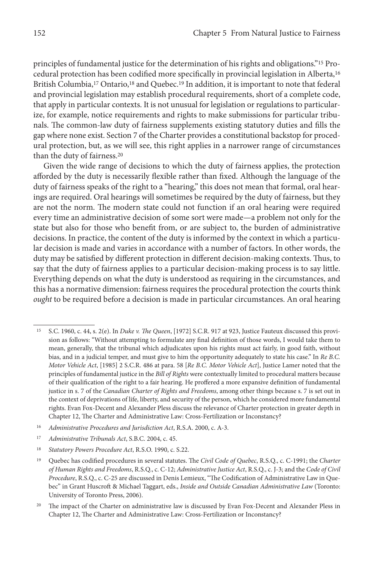principles of fundamental justice for the determination of his rights and obligations."15 Procedural protection has been codified more specifically in provincial legislation in Alberta,16 British Columbia,<sup>17</sup> Ontario,<sup>18</sup> and Quebec.<sup>19</sup> In addition, it is important to note that federal and provincial legislation may establish procedural requirements, short of a complete code, that apply in particular contexts. It is not unusual for legislation or regulations to particularize, for example, notice requirements and rights to make submissions for particular tribunals. The common-law duty of fairness supplements existing statutory duties and fills the gap where none exist. Section 7 of the Charter provides a constitutional backstop for procedural protection, but, as we will see, this right applies in a narrower range of circumstances than the duty of fairness.20

Given the wide range of decisions to which the duty of fairness applies, the protection afforded by the duty is necessarily flexible rather than fixed. Although the language of the duty of fairness speaks of the right to a "hearing," this does not mean that formal, oral hearings are required. Oral hearings will sometimes be required by the duty of fairness, but they are not the norm. The modern state could not function if an oral hearing were required every time an administrative decision of some sort were made—a problem not only for the state but also for those who benefit from, or are subject to, the burden of administrative decisions. In practice, the content of the duty is informed by the context in which a particular decision is made and varies in accordance with a number of factors. In other words, the duty may be satisfied by different protection in different decision-making contexts. Thus, to say that the duty of fairness applies to a particular decision-making process is to say little. Everything depends on what the duty is understood as requiring in the circumstances, and this has a normative dimension: fairness requires the procedural protection the courts think *ought* to be required before a decision is made in particular circumstances. An oral hearing

<sup>15</sup> S.C. 1960, c. 44, s. 2(e). In *Duke v. The Queen*, [1972] S.C.R. 917 at 923, Justice Fauteux discussed this provision as follows: "Without attempting to formulate any final definition of those words, I would take them to mean, generally, that the tribunal which adjudicates upon his rights must act fairly, in good faith, without bias, and in a judicial temper, and must give to him the opportunity adequately to state his case." In *Re B.C. Motor Vehicle Act*, [1985] 2 S.C.R. 486 at para. 58 [*Re B.C. Motor Vehicle Act*], Justice Lamer noted that the principles of fundamental justice in the *Bill of Rights* were contextually limited to procedural matters because of their qualification of the right to a fair hearing. He proffered a more expansive definition of fundamental justice in s. 7 of the *Canadian Charter of Rights and Freedoms*, among other things because s. 7 is set out in the context of deprivations of life, liberty, and security of the person, which he considered more fundamental rights. Evan Fox-Decent and Alexander Pless discuss the relevance of Charter protection in greater depth in Chapter 12, The Charter and Administrative Law: Cross-Fertilization or Inconstancy?

<sup>16</sup> *Administrative Procedures and Jurisdiction Act*, R.S.A. 2000, c. A-3.

<sup>17</sup> *Administrative Tribunals Act*, S.B.C. 2004, c. 45.

<sup>18</sup> *Statutory Powers Procedure Act*, R.S.O. 1990, c. S.22.

<sup>19</sup> Quebec has codified procedures in several statutes. The *Civil Code of Quebec*, R.S.Q., c. C-1991; the *Charter of Human Rights and Freedoms*, R.S.Q., c. C-12; *Administrative Justice Act*, R.S.Q., c. J-3; and the *Code of Civil Procedure*, R.S.Q., c. C-25 are discussed in Denis Lemieux, "The Codification of Administrative Law in Quebec" in Grant Huscroft & Michael Taggart, eds., *Inside and Outside Canadian Administrative Law* (Toronto: University of Toronto Press, 2006).

The impact of the Charter on administrative law is discussed by Evan Fox-Decent and Alexander Pless in Chapter 12, The Charter and Administrative Law: Cross-Fertilization or Inconstancy?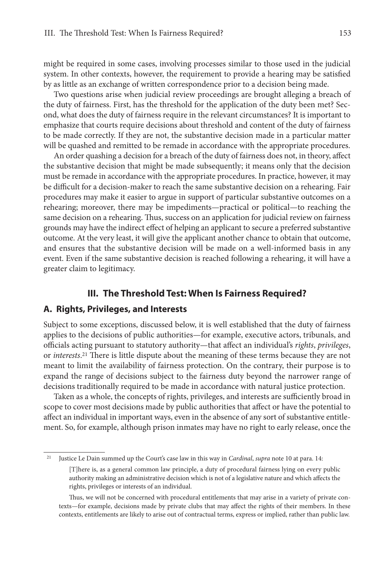<span id="page-6-0"></span>might be required in some cases, involving processes similar to those used in the judicial system. In other contexts, however, the requirement to provide a hearing may be satisfied by as little as an exchange of written correspondence prior to a decision being made.

Two questions arise when judicial review proceedings are brought alleging a breach of the duty of fairness. First, has the threshold for the application of the duty been met? Second, what does the duty of fairness require in the relevant circumstances? It is important to emphasize that courts require decisions about threshold and content of the duty of fairness to be made correctly. If they are not, the substantive decision made in a particular matter will be quashed and remitted to be remade in accordance with the appropriate procedures.

An order quashing a decision for a breach of the duty of fairness does not, in theory, affect the substantive decision that might be made subsequently; it means only that the decision must be remade in accordance with the appropriate procedures. In practice, however, it may be difficult for a decision-maker to reach the same substantive decision on a rehearing. Fair procedures may make it easier to argue in support of particular substantive outcomes on a rehearing; moreover, there may be impediments—practical or political—to reaching the same decision on a rehearing. Thus, success on an application for judicial review on fairness grounds may have the indirect effect of helping an applicant to secure a preferred substantive outcome. At the very least, it will give the applicant another chance to obtain that outcome, and ensures that the substantive decision will be made on a well-informed basis in any event. Even if the same substantive decision is reached following a rehearing, it will have a greater claim to legitimacy.

## **III. The Threshold Test: When Is Fairness Required?**

#### **A. Rights, Privileges, and Interests**

Subject to some exceptions, discussed below, it is well established that the duty of fairness applies to the decisions of public authorities—for example, executive actors, tribunals, and officials acting pursuant to statutory authority—that affect an individual's *rights*, *privileges*, or *interests*. <sup>21</sup> There is little dispute about the meaning of these terms because they are not meant to limit the availability of fairness protection. On the contrary, their purpose is to expand the range of decisions subject to the fairness duty beyond the narrower range of decisions traditionally required to be made in accordance with natural justice protection.

Taken as a whole, the concepts of rights, privileges, and interests are sufficiently broad in scope to cover most decisions made by public authorities that affect or have the potential to affect an individual in important ways, even in the absence of any sort of substantive entitlement. So, for example, although prison inmates may have no right to early release, once the

<sup>&</sup>lt;sup>21</sup> Justice Le Dain summed up the Court's case law in this way in *Cardinal*, *supra* note 10 at para. 14:

<sup>[</sup>T]here is, as a general common law principle, a duty of procedural fairness lying on every public authority making an administrative decision which is not of a legislative nature and which affects the rights, privileges or interests of an individual.

Thus, we will not be concerned with procedural entitlements that may arise in a variety of private contexts—for example, decisions made by private clubs that may affect the rights of their members. In these contexts, entitlements are likely to arise out of contractual terms, express or implied, rather than public law.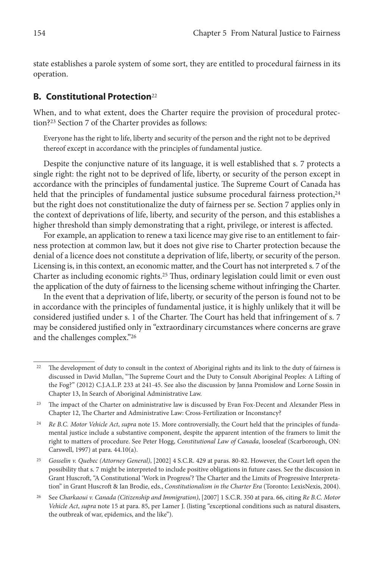<span id="page-7-0"></span>state establishes a parole system of some sort, they are entitled to procedural fairness in its operation.

## **B. Constitutional Protection**<sup>22</sup>

When, and to what extent, does the Charter require the provision of procedural protection?23 Section 7 of the Charter provides as follows:

Everyone has the right to life, liberty and security of the person and the right not to be deprived thereof except in accordance with the principles of fundamental justice.

Despite the conjunctive nature of its language, it is well established that s. 7 protects a single right: the right not to be deprived of life, liberty, or security of the person except in accordance with the principles of fundamental justice. The Supreme Court of Canada has held that the principles of fundamental justice subsume procedural fairness protection,<sup>24</sup> but the right does not constitutionalize the duty of fairness per se. Section 7 applies only in the context of deprivations of life, liberty, and security of the person, and this establishes a higher threshold than simply demonstrating that a right, privilege, or interest is affected.

For example, an application to renew a taxi licence may give rise to an entitlement to fairness protection at common law, but it does not give rise to Charter protection because the denial of a licence does not constitute a deprivation of life, liberty, or security of the person. Licensing is, in this context, an economic matter, and the Court has not interpreted s. 7 of the Charter as including economic rights.25 Thus, ordinary legislation could limit or even oust the application of the duty of fairness to the licensing scheme without infringing the Charter.

In the event that a deprivation of life, liberty, or security of the person is found not to be in accordance with the principles of fundamental justice, it is highly unlikely that it will be considered justified under s. 1 of the Charter. The Court has held that infringement of s. 7 may be considered justified only in "extraordinary circumstances where concerns are grave and the challenges complex."26

<sup>&</sup>lt;sup>22</sup> The development of duty to consult in the context of Aboriginal rights and its link to the duty of fairness is discussed in David Mullan, "The Supreme Court and the Duty to Consult Aboriginal Peoples: A Lifting of the Fog?" (2012) C.J.A.L.P. 233 at 241-45. See also the discussion by Janna Promislow and Lorne Sossin in Chapter 13, In Search of Aboriginal Administrative Law.

<sup>&</sup>lt;sup>23</sup> The impact of the Charter on administrative law is discussed by Evan Fox-Decent and Alexander Pless in Chapter 12, The Charter and Administrative Law: Cross-Fertilization or Inconstancy?

<sup>24</sup> *Re B.C. Motor Vehicle Act*, *supra* note 15. More controversially, the Court held that the principles of fundamental justice include a substantive component, despite the apparent intention of the framers to limit the right to matters of procedure. See Peter Hogg, *Constitutional Law of Canada*, looseleaf (Scarborough, ON: Carswell, 1997) at para. 44.10(a).

<sup>25</sup> *Gosselin v. Quebec (Attorney General)*, [2002] 4 S.C.R. 429 at paras. 80-82. However, the Court left open the possibility that s. 7 might be interpreted to include positive obligations in future cases. See the discussion in Grant Huscroft, "A Constitutional 'Work in Progress'? The Charter and the Limits of Progressive Interpretation" in Grant Huscroft & Ian Brodie, eds., *Constitutionalism in the Charter Era* (Toronto: LexisNexis, 2004).

<sup>26</sup> See *Charkaoui v. Canada (Citizenship and Immigration)*, [2007] 1 S.C.R. 350 at para. 66, citing *Re B.C. Motor Vehicle Act*, *supra* note 15 at para. 85, per Lamer J. (listing "exceptional conditions such as natural disasters, the outbreak of war, epidemics, and the like").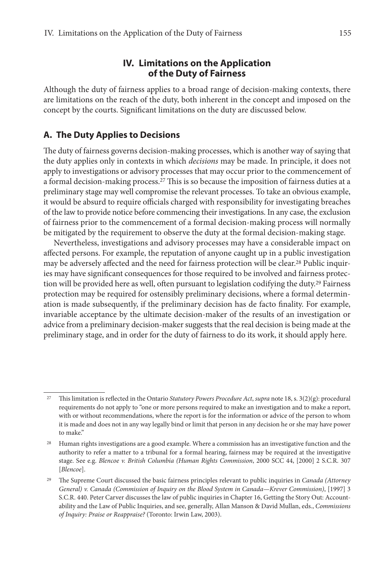## **IV. Limitations on the Application of the Duty of Fairness**

<span id="page-8-0"></span>Although the duty of fairness applies to a broad range of decision-making contexts, there are limitations on the reach of the duty, both inherent in the concept and imposed on the concept by the courts. Significant limitations on the duty are discussed below.

## **A. The Duty Applies to Decisions**

The duty of fairness governs decision-making processes, which is another way of saying that the duty applies only in contexts in which *decisions* may be made. In principle, it does not apply to investigations or advisory processes that may occur prior to the commencement of a formal decision-making process.27 This is so because the imposition of fairness duties at a preliminary stage may well compromise the relevant processes. To take an obvious example, it would be absurd to require officials charged with responsibility for investigating breaches of the law to provide notice before commencing theirinvestigations. In any case, the exclusion of fairness prior to the commencement of a formal decision-making process will normally be mitigated by the requirement to observe the duty at the formal decision-making stage.

Nevertheless, investigations and advisory processes may have a considerable impact on affected persons. For example, the reputation of anyone caught up in a public investigation may be adversely affected and the need for fairness protection will be clear.<sup>28</sup> Public inquiries may have significant consequences for those required to be involved and fairness protection will be provided here as well, often pursuant to legislation codifying the duty.<sup>29</sup> Fairness protection may be required for ostensibly preliminary decisions, where a formal determination is made subsequently, if the preliminary decision has de facto finality. For example, invariable acceptance by the ultimate decision-maker of the results of an investigation or advice from a preliminary decision-maker suggests that the real decision is being made at the preliminary stage, and in order for the duty of fairness to do its work, it should apply here.

<sup>&</sup>lt;sup>27</sup> This limitation is reflected in the Ontario *Statutory Powers Procedure Act*, *supra* note 18, s. 3(2)(g): procedural requirements do not apply to "one or more persons required to make an investigation and to make a report, with or without recommendations, where the report is for the information or advice of the person to whom it is made and does not in any way legally bind or limit that person in any decision he or she may have power to make."

<sup>&</sup>lt;sup>28</sup> Human rights investigations are a good example. Where a commission has an investigative function and the authority to refer a matter to a tribunal for a formal hearing, fairness may be required at the investigative stage. See e.g. *Blencoe v. British Columbia (Human Rights Commission*, 2000 SCC 44, [2000] 2 S.C.R. 307 [*Blencoe*].

<sup>29</sup> The Supreme Court discussed the basic fairness principles relevant to public inquiries in *Canada (Attorney General) v. Canada (Commission of Inquiry on the Blood System in Canada—Krever Commission)*, [1997] 3 S.C.R. 440. Peter Carver discusses the law of public inquiries in Chapter 16, Getting the Story Out: Accountability and the Law of Public Inquiries, and see, generally, Allan Manson & David Mullan, eds., *Commissions of Inquiry: Praise or Reappraise?* (Toronto: Irwin Law, 2003).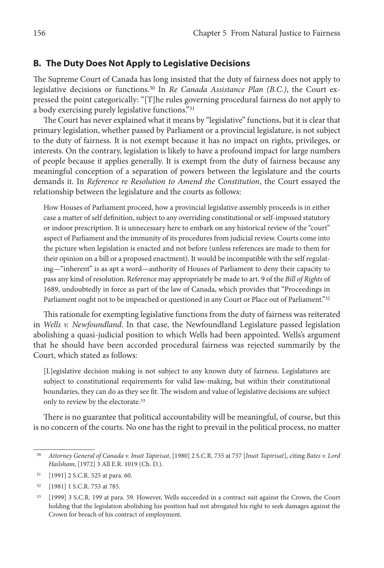## <span id="page-9-0"></span>**B. The Duty Does Not Apply to Legislative Decisions**

The Supreme Court of Canada has long insisted that the duty of fairness does not apply to legislative decisions or functions.30 In *Re Canada Assistance Plan (B.C.)*, the Court expressed the point categorically: "[T]he rules governing procedural fairness do not apply to a body exercising purely legislative functions."31

The Court has never explained what it means by "legislative" functions, but it is clear that primary legislation, whether passed by Parliament or a provincial legislature, is not subject to the duty of fairness. It is not exempt because it has no impact on rights, privileges, or interests. On the contrary, legislation is likely to have a profound impact for large numbers of people because it applies generally. It is exempt from the duty of fairness because any meaningful conception of a separation of powers between the legislature and the courts demands it. In *Reference re Resolution to Amend the Constitution*, the Court essayed the relationship between the legislature and the courts as follows:

How Houses of Parliament proceed, how a provincial legislative assembly proceeds is in either case a matter of self definition, subject to any overriding constitutional or self-imposed statutory or indoor prescription. It is unnecessary here to embark on any historical review of the "court" aspect of Parliament and the immunity of its procedures from judicial review. Courts come into the picture when legislation is enacted and not before (unless references are made to them for their opinion on a bill or a proposed enactment). It would be incompatible with the self regulating—"inherent" is as apt a word—authority of Houses of Parliament to deny their capacity to pass any kind of resolution. Reference may appropriately be made to art. 9 of the *Bill of Rights* of 1689, undoubtedly in force as part of the law of Canada, which provides that "Proceedings in Parliament ought not to be impeached or questioned in any Court or Place out of Parliament."32

This rationale for exempting legislative functions from the duty of fairness was reiterated in *Wells v. Newfoundland*. In that case, the Newfoundland Legislature passed legislation abolishing a quasi-judicial position to which Wells had been appointed. Wells's argument that he should have been accorded procedural fairness was rejected summarily by the Court, which stated as follows:

[L]egislative decision making is not subject to any known duty of fairness. Legislatures are subject to constitutional requirements for valid law-making, but within their constitutional boundaries, they can do as they see fit. The wisdom and value of legislative decisions are subject only to review by the electorate.33

There is no guarantee that political accountability will be meaningful, of course, but this is no concern of the courts. No one has the right to prevail in the political process, no matter

<sup>30</sup> *Attorney General of Canada v. Inuit Tapirisat*, [1980] 2 S.C.R. 735 at 757 [*Inuit Tapirisat*], citing *Bates v. Lord Hailsham*, [1972] 3 All E.R. 1019 (Ch. D.).

<sup>31 [1991]</sup> 2 S.C.R. 525 at para. 60.

<sup>32 [1981]</sup> 1 S.C.R. 753 at 785.

<sup>&</sup>lt;sup>33</sup> [1999] 3 S.C.R. 199 at para. 59. However, Wells succeeded in a contract suit against the Crown, the Court holding that the legislation abolishing his position had not abrogated his right to seek damages against the Crown for breach of his contract of employment.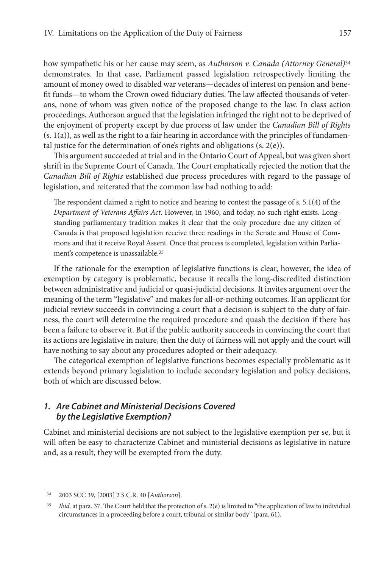<span id="page-10-0"></span>how sympathetic his or her cause may seem, as *Authorson v. Canada (Attorney General)*<sup>34</sup> demonstrates. In that case, Parliament passed legislation retrospectively limiting the amount of money owed to disabled war veterans—decades of interest on pension and benefit funds—to whom the Crown owed fiduciary duties. The law affected thousands of veterans, none of whom was given notice of the proposed change to the law. In class action proceedings, Authorson argued that the legislation infringed the right not to be deprived of the enjoyment of property except by due process of law under the *Canadian Bill of Rights* (s. 1(a)), as well as the right to a fair hearing in accordance with the principles of fundamental justice for the determination of one's rights and obligations  $(s, 2(e))$ .

This argument succeeded at trial and in the Ontario Court of Appeal, but was given short shrift in the Supreme Court of Canada. The Court emphatically rejected the notion that the *Canadian Bill of Rights* established due process procedures with regard to the passage of legislation, and reiterated that the common law had nothing to add:

The respondent claimed a right to notice and hearing to contest the passage of s. 5.1(4) of the *Department of Veterans Affairs Act*. However, in 1960, and today, no such right exists. Longstanding parliamentary tradition makes it clear that the only procedure due any citizen of Canada is that proposed legislation receive three readings in the Senate and House of Commons and that it receive Royal Assent. Once that process is completed, legislation within Parliament's competence is unassailable.35

If the rationale for the exemption of legislative functions is clear, however, the idea of exemption by category is problematic, because it recalls the long-discredited distinction between administrative and judicial or quasi-judicial decisions. It invites argument over the meaning of the term "legislative" and makes for all-or-nothing outcomes. If an applicant for judicial review succeeds in convincing a court that a decision is subject to the duty of fairness, the court will determine the required procedure and quash the decision if there has been a failure to observe it. But if the public authority succeeds in convincing the court that its actions are legislative in nature, then the duty of fairness will not apply and the court will have nothing to say about any procedures adopted or their adequacy.

The categorical exemption of legislative functions becomes especially problematic as it extends beyond primary legislation to include secondary legislation and policy decisions, both of which are discussed below.

## *1. Are Cabinet and Ministerial Decisions Covered by the Legislative Exemption?*

Cabinet and ministerial decisions are not subject to the legislative exemption per se, but it will often be easy to characterize Cabinet and ministerial decisions as legislative in nature and, as a result, they will be exempted from the duty.

<sup>34 2003</sup> SCC 39, [2003] 2 S.C.R. 40 [*Authorson*].

<sup>35</sup> *Ibid.* at para. 37. The Court held that the protection of s. 2(e) is limited to "the application of law to individual circumstances in a proceeding before a court, tribunal or similar body" (para. 61).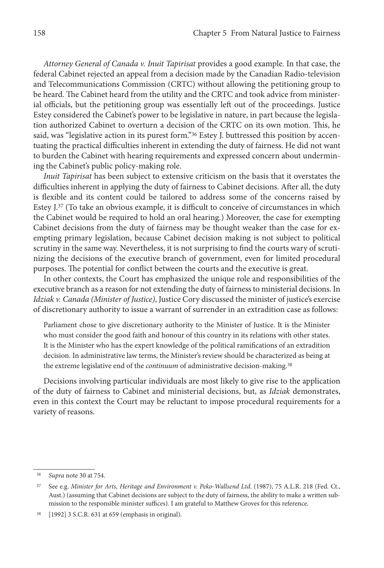*Attorney General of Canada v. Inuit Tapirisat* provides a good example. In that case, the federal Cabinet rejected an appeal from a decision made by the Canadian Radio-television and Telecommunications Commission (CRTC) without allowing the petitioning group to be heard. The Cabinet heard from the utility and the CRTC and took advice from ministerial officials, but the petitioning group was essentially left out of the proceedings. Justice Estey considered the Cabinet's power to be legislative in nature, in part because the legislation authorized Cabinet to overturn a decision of the CRTC on its own motion. This, he said, was "legislative action in its purest form."36 Estey J. buttressed this position by accentuating the practical difficulties inherent in extending the duty of fairness. He did not want to burden the Cabinet with hearing requirements and expressed concern about undermining the Cabinet's public policy-making role.

*Inuit Tapirisat* has been subject to extensive criticism on the basis that it overstates the difficulties inherent in applying the duty of fairness to Cabinet decisions. After all, the duty is flexible and its content could be tailored to address some of the concerns raised by Estey J.37 (To take an obvious example, it is difficult to conceive of circumstances in which the Cabinet would be required to hold an oral hearing.) Moreover, the case for exempting Cabinet decisions from the duty of fairness may be thought weaker than the case for exempting primary legislation, because Cabinet decision making is not subject to political scrutiny in the same way. Nevertheless, it is not surprising to find the courts wary of scrutinizing the decisions of the executive branch of government, even for limited procedural purposes. The potential for conflict between the courts and the executive is great.

In other contexts, the Court has emphasized the unique role and responsibilities of the executive branch as a reason for not extending the duty of fairness to ministerial decisions. In *Idziak v. Canada (Minister of Justice)*, Justice Cory discussed the minister of justice's exercise of discretionary authority to issue a warrant of surrender in an extradition case as follows:

Parliament chose to give discretionary authority to the Minister of Justice. It is the Minister who must consider the good faith and honour of this country in its relations with other states. It is the Minister who has the expert knowledge of the political ramifications of an extradition decision. In administrative law terms, the Minister's review should be characterized as being at the extreme legislative end of the *continuum* of administrative decision-making.38

Decisions involving particular individuals are most likely to give rise to the application of the duty of fairness to Cabinet and ministerial decisions, but, as *Idziak* demonstrates, even in this context the Court may be reluctant to impose procedural requirements for a variety of reasons.

<sup>36</sup> *Supra* note 30 at 754.

<sup>&</sup>lt;sup>37</sup> See e.g. *Minister for Arts, Heritage and Environment v. Peko-Wallsend Ltd.* (1987), 75 A.L.R. 218 (Fed. Ct., Aust.) (assuming that Cabinet decisions are subject to the duty of fairness, the ability to make a written submission to the responsible minister suffices). I am grateful to Matthew Groves for this reference.

<sup>38 [1992]</sup> 3 S.C.R. 631 at 659 (emphasis in original).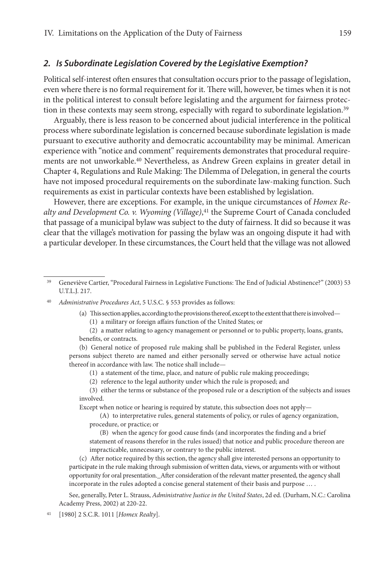## <span id="page-12-0"></span>*2. Is Subordinate Legislation Covered by the Legislative Exemption?*

Political self-interest often ensures that consultation occurs prior to the passage of legislation, even where there is no formal requirement for it. There will, however, be times when it is not in the political interest to consult before legislating and the argument for fairness protection in these contexts may seem strong, especially with regard to subordinate legislation.<sup>39</sup>

Arguably, there is less reason to be concerned about judicial interference in the political process where subordinate legislation is concerned because subordinate legislation is made pursuant to executive authority and democratic accountability may be minimal. American experience with "notice and comment" requirements demonstrates that procedural requirements are not unworkable.40 Nevertheless, as Andrew Green explains in greater detail in Chapter 4, Regulations and Rule Making: The Dilemma of Delegation, in general the courts have not imposed procedural requirements on the subordinate law-making function. Such requirements as exist in particular contexts have been established by legislation.

However, there are exceptions. For example, in the unique circumstances of *Homex Realty and Development Co. v. Wyoming (Village)*, <sup>41</sup> the Supreme Court of Canada concluded that passage of a municipal bylaw was subject to the duty of fairness. It did so because it was clear that the village's motivation for passing the bylaw was an ongoing dispute it had with a particular developer. In these circumstances, the Court held that the village was not allowed

(a) This section applies, according to the provisions thereof, except to the extent that there is involved—

(1) a military or foreign affairs function of the United States; or

(2) a matter relating to agency management or personnel or to public property, loans, grants, benefits, or contracts.

(b) General notice of proposed rule making shall be published in the Federal Register, unless persons subject thereto are named and either personally served or otherwise have actual notice thereof in accordance with law. The notice shall include—

- (1) a statement of the time, place, and nature of public rule making proceedings;
- (2) reference to the legal authority under which the rule is proposed; and
- (3) either the terms or substance of the proposed rule or a description of the subjects and issues involved.

Except when notice or hearing is required by statute, this subsection does not apply—

(A) to interpretative rules, general statements of policy, or rules of agency organization, procedure, or practice; or

(B) when the agency for good cause finds (and incorporates the finding and a brief statement of reasons therefor in the rules issued) that notice and public procedure thereon are impracticable, unnecessary, or contrary to the public interest.

(c) After notice required by this section, the agency shall give interested persons an opportunity to participate in the rule making through submission of written data, views, or arguments with or without opportunity for oral presentation.\_After consideration of the relevant matter presented, the agency shall incorporate in the rules adopted a concise general statement of their basis and purpose … .

See, generally, Peter L. Strauss, *Administrative Justice in the United States*, 2d ed. (Durham, N.C.: Carolina Academy Press, 2002) at 220-22.

<sup>&</sup>lt;sup>39</sup> Geneviève Cartier, "Procedural Fairness in Legislative Functions: The End of Judicial Abstinence?" (2003) 53 U.T.L.J. 217.

Administrative Procedures Act, 5 U.S.C. § 553 provides as follows:

<sup>41 [1980]</sup> 2 S.C.R. 1011 [*Homex Realty*].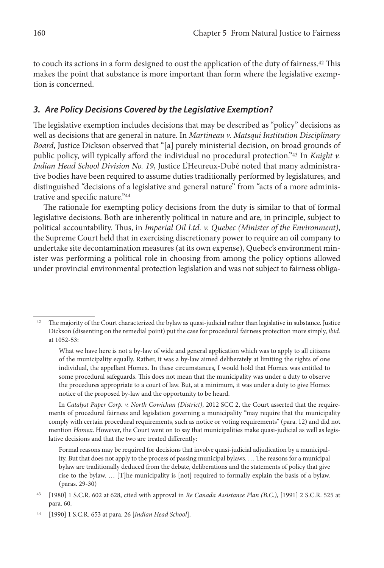<span id="page-13-0"></span>to couch its actions in a form designed to oust the application of the duty of fairness.42 This makes the point that substance is more important than form where the legislative exemption is concerned.

## *3. Are Policy Decisions Covered by the Legislative Exemption?*

The legislative exemption includes decisions that may be described as "policy" decisions as well as decisions that are general in nature. In *Martineau v. Matsqui Institution Disciplinary Board*, Justice Dickson observed that "[a] purely ministerial decision, on broad grounds of public policy, will typically afford the individual no procedural protection."43 In *Knight v. Indian Head School Division No. 19*, Justice L'Heureux-Dubé noted that many administrative bodies have been required to assume duties traditionally performed by legislatures, and distinguished "decisions of a legislative and general nature" from "acts of a more administrative and specific nature."44

The rationale for exempting policy decisions from the duty is similar to that of formal legislative decisions. Both are inherently political in nature and are, in principle, subject to political accountability. Thus, in *Imperial Oil Ltd. v. Quebec (Minister of the Environment)*, the Supreme Court held that in exercising discretionary power to require an oil company to undertake site decontamination measures (at its own expense), Quebec's environment minister was performing a political role in choosing from among the policy options allowed under provincial environmental protection legislation and was not subject to fairness obliga-

In *Catalyst Paper Corp. v. North Cowichan (District)*, 2012 SCC 2, the Court asserted that the requirements of procedural fairness and legislation governing a municipality "may require that the municipality comply with certain procedural requirements, such as notice or voting requirements" (para. 12) and did not mention *Homex*. However, the Court went on to say that municipalities make quasi-judicial as well as legislative decisions and that the two are treated differently:

Formal reasons may be required for decisions that involve quasi-judicial adjudication by a municipality. But that does not apply to the process of passing municipal bylaws. … The reasons for a municipal bylaw are traditionally deduced from the debate, deliberations and the statements of policy that give rise to the bylaw. … [T]he municipality is [not] required to formally explain the basis of a bylaw. (paras. 29-30)

<sup>&</sup>lt;sup>42</sup> The majority of the Court characterized the bylaw as quasi-judicial rather than legislative in substance. Justice Dickson (dissenting on the remedial point) put the case for procedural fairness protection more simply, *ibid.* at 1052-53:

What we have here is not a by-law of wide and general application which was to apply to all citizens of the municipality equally. Rather, it was a by-law aimed deliberately at limiting the rights of one individual, the appellant Homex. In these circumstances, I would hold that Homex was entitled to some procedural safeguards. This does not mean that the municipality was under a duty to observe the procedures appropriate to a court of law. But, at a minimum, it was under a duty to give Homex notice of the proposed by-law and the opportunity to be heard.

<sup>43 [1980]</sup> 1 S.C.R. 602 at 628, cited with approval in *Re Canada Assistance Plan (B.C.)*, [1991] 2 S.C.R. 525 at para. 60.

<sup>44 [1990]</sup> 1 S.C.R. 653 at para. 26 [*Indian Head School*].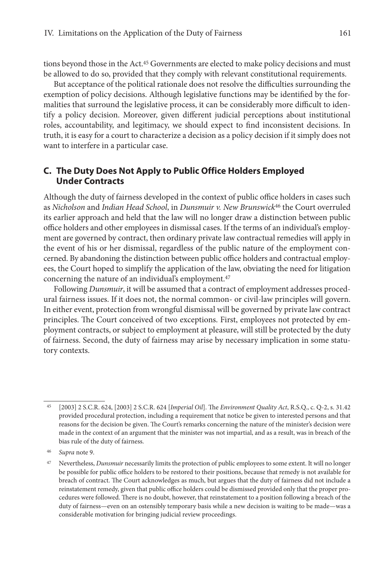<span id="page-14-0"></span>tions beyond those in the Act.45 Governments are elected to make policy decisions and must be allowed to do so, provided that they comply with relevant constitutional requirements.

But acceptance of the political rationale does not resolve the difficulties surrounding the exemption of policy decisions. Although legislative functions may be identified by the formalities that surround the legislative process, it can be considerably more difficult to identify a policy decision. Moreover, given different judicial perceptions about institutional roles, accountability, and legitimacy, we should expect to find inconsistent decisions. In truth, it is easy for a court to characterize a decision as a policy decision if it simply does not want to interfere in a particular case.

## **C. The Duty Does Not Apply to Public Office Holders Employed Under Contracts**

Although the duty of fairness developed in the context of public office holders in cases such as *Nicholson* and *Indian Head School*, in *Dunsmuir v. New Brunswick*<sup>46</sup> the Court overruled its earlier approach and held that the law will no longer draw a distinction between public office holders and other employees in dismissal cases. If the terms of an individual's employment are governed by contract, then ordinary private law contractual remedies will apply in the event of his or her dismissal, regardless of the public nature of the employment concerned. By abandoning the distinction between public office holders and contractual employees, the Court hoped to simplify the application of the law, obviating the need for litigation concerning the nature of an individual's employment.47

Following *Dunsmuir*, it will be assumed that a contract of employment addresses procedural fairness issues. If it does not, the normal common- or civil-law principles will govern. In either event, protection from wrongful dismissal will be governed by private law contract principles. The Court conceived of two exceptions. First, employees not protected by employment contracts, or subject to employment at pleasure, will still be protected by the duty of fairness. Second, the duty of fairness may arise by necessary implication in some statutory contexts.

<sup>45 [2003]</sup> 2 S.C.R. 624, [2003] 2 S.C.R. 624 [*Imperial Oil*]. The *Environment Quality Act*, R.S.Q., c. Q-2, s. 31.42 provided procedural protection, including a requirement that notice be given to interested persons and that reasons for the decision be given. The Court's remarks concerning the nature of the minister's decision were made in the context of an argument that the minister was not impartial, and as a result, was in breach of the bias rule of the duty of fairness.

<sup>46</sup> *Supra* note 9.

<sup>47</sup> Nevertheless, *Dunsmuir* necessarily limits the protection of public employees to some extent. It will no longer be possible for public office holders to be restored to their positions, because that remedy is not available for breach of contract. The Court acknowledges as much, but argues that the duty of fairness did not include a reinstatement remedy, given that public office holders could be dismissed provided only that the proper procedures were followed. There is no doubt, however, that reinstatement to a position following a breach of the duty of fairness—even on an ostensibly temporary basis while a new decision is waiting to be made—was a considerable motivation for bringing judicial review proceedings.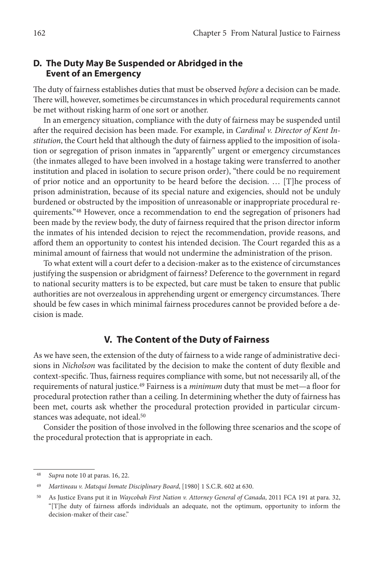## <span id="page-15-0"></span>**D. The Duty May Be Suspended or Abridged in the Event of an Emergency**

The duty of fairness establishes duties that must be observed *before* a decision can be made. There will, however, sometimes be circumstances in which procedural requirements cannot be met without risking harm of one sort or another.

In an emergency situation, compliance with the duty of fairness may be suspended until after the required decision has been made. For example, in *Cardinal v. Director of Kent Institution*, the Court held that although the duty of fairness applied to the imposition of isolation or segregation of prison inmates in "apparently" urgent or emergency circumstances (the inmates alleged to have been involved in a hostage taking were transferred to another institution and placed in isolation to secure prison order), "there could be no requirement of prior notice and an opportunity to be heard before the decision. … [T]he process of prison administration, because of its special nature and exigencies, should not be unduly burdened or obstructed by the imposition of unreasonable or inappropriate procedural requirements."48 However, once a recommendation to end the segregation of prisoners had been made by the review body, the duty of fairness required that the prison director inform the inmates of his intended decision to reject the recommendation, provide reasons, and afford them an opportunity to contest his intended decision. The Court regarded this as a minimal amount of fairness that would not undermine the administration of the prison.

To what extent will a court defer to a decision-maker as to the existence of circumstances justifying the suspension or abridgment of fairness? Deference to the government in regard to national security matters is to be expected, but care must be taken to ensure that public authorities are not overzealous in apprehending urgent or emergency circumstances. There should be few cases in which minimal fairness procedures cannot be provided before a decision is made.

## **V. The Content of the Duty of Fairness**

As we have seen, the extension of the duty of fairness to a wide range of administrative decisions in *Nicholson* was facilitated by the decision to make the content of duty flexible and context-specific. Thus, fairness requires compliance with some, but not necessarily all, of the requirements of natural justice.49 Fairness is a *minimum* duty that must be met—a floor for procedural protection rather than a ceiling. In determining whether the duty of fairness has been met, courts ask whether the procedural protection provided in particular circumstances was adequate, not ideal.50

Consider the position of those involved in the following three scenarios and the scope of the procedural protection that is appropriate in each.

<sup>48</sup> *Supra* note 10 at paras. 16, 22.

<sup>49</sup> *Martineau v. Matsqui Inmate Disciplinary Board*, [1980] 1 S.C.R. 602 at 630.

<sup>50</sup> As Justice Evans put it in *Waycobah First Nation v. Attorney General of Canada*, 2011 FCA 191 at para. 32, "[T]he duty of fairness affords individuals an adequate, not the optimum, opportunity to inform the decision-maker of their case."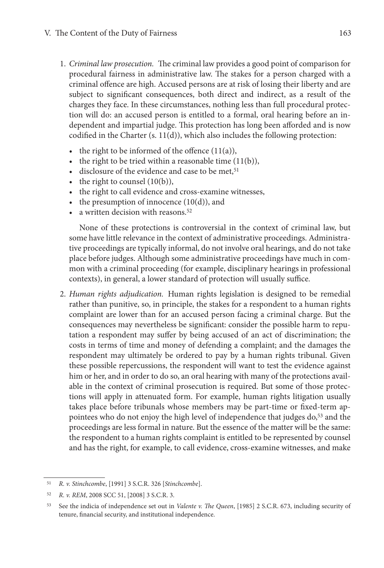- 1. *Criminal law prosecution.* The criminal law provides a good point of comparison for procedural fairness in administrative law. The stakes for a person charged with a criminal offence are high. Accused persons are at risk of losing their liberty and are subject to significant consequences, both direct and indirect, as a result of the charges they face. In these circumstances, nothing less than full procedural protection will do: an accused person is entitled to a formal, oral hearing before an independent and impartial judge. This protection has long been afforded and is now codified in the Charter (s. 11(d)), which also includes the following protection:
	- the right to be informed of the offence  $(11(a))$ ,
	- the right to be tried within a reasonable time  $(11(b))$ ,
	- $\bullet$  disclosure of the evidence and case to be met,<sup>51</sup>
	- the right to counsel  $(10(b))$ ,
	- • the right to call evidence and cross-examine witnesses,
	- the presumption of innocence  $(10(d))$ , and
	- a written decision with reasons.<sup>52</sup>

None of these protections is controversial in the context of criminal law, but some have little relevance in the context of administrative proceedings. Administrative proceedings are typically informal, do not involve oral hearings, and do not take place before judges. Although some administrative proceedings have much in common with a criminal proceeding (for example, disciplinary hearings in professional contexts), in general, a lower standard of protection will usually suffice.

2. *Human rights adjudication*. Human rights legislation is designed to be remedial rather than punitive, so, in principle, the stakes for a respondent to a human rights complaint are lower than for an accused person facing a criminal charge. But the consequences may nevertheless be significant: consider the possible harm to reputation a respondent may suffer by being accused of an act of discrimination; the costs in terms of time and money of defending a complaint; and the damages the respondent may ultimately be ordered to pay by a human rights tribunal. Given these possible repercussions, the respondent will want to test the evidence against him or her, and in order to do so, an oral hearing with many of the protections available in the context of criminal prosecution is required. But some of those protections will apply in attenuated form. For example, human rights litigation usually takes place before tribunals whose members may be part-time or fixed-term appointees who do not enjoy the high level of independence that judges do,<sup>53</sup> and the proceedings are less formal in nature. But the essence of the matter will be the same: the respondent to a human rights complaint is entitled to be represented by counsel and has the right, for example, to call evidence, cross-examine witnesses, and make

<sup>51</sup> *R. v. Stinchcombe*, [1991] 3 S.C.R. 326 [*Stinchcombe*].

<sup>52</sup> *R. v. REM*, 2008 SCC 51, [2008] 3 S.C.R. 3.

<sup>53</sup> See the indicia of independence set out in *Valente v. The Queen*, [1985] 2 S.C.R. 673, including security of tenure, financial security, and institutional independence.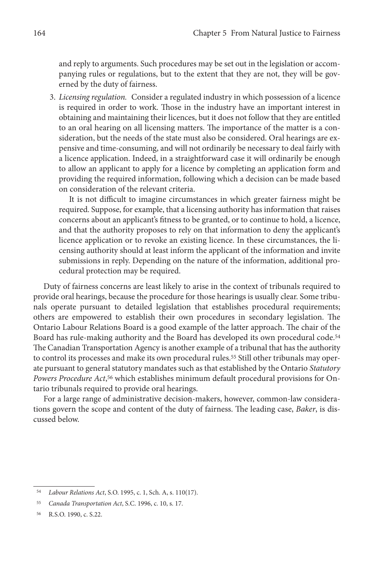and reply to arguments. Such procedures may be set out in the legislation or accompanying rules or regulations, but to the extent that they are not, they will be governed by the duty of fairness.

3. *Licensing regulation.* Consider a regulated industry in which possession of a licence is required in order to work. Those in the industry have an important interest in obtaining and maintaining their licences, but it does not follow that they are entitled to an oral hearing on all licensing matters. The importance of the matter is a consideration, but the needs of the state must also be considered. Oral hearings are expensive and time-consuming, and will not ordinarily be necessary to deal fairly with a licence application. Indeed, in a straightforward case it will ordinarily be enough to allow an applicant to apply for a licence by completing an application form and providing the required information, following which a decision can be made based on consideration of the relevant criteria.

It is not difficult to imagine circumstances in which greater fairness might be required. Suppose, for example, that a licensing authority has information that raises concerns about an applicant's fitness to be granted, or to continue to hold, a licence, and that the authority proposes to rely on that information to deny the applicant's licence application or to revoke an existing licence. In these circumstances, the licensing authority should at least inform the applicant of the information and invite submissions in reply. Depending on the nature of the information, additional procedural protection may be required.

Duty of fairness concerns are least likely to arise in the context of tribunals required to provide oral hearings, because the procedure for those hearings is usually clear. Some tribunals operate pursuant to detailed legislation that establishes procedural requirements; others are empowered to establish their own procedures in secondary legislation. The Ontario Labour Relations Board is a good example of the latter approach. The chair of the Board has rule-making authority and the Board has developed its own procedural code.<sup>54</sup> The Canadian Transportation Agency is another example of a tribunal that has the authority to control its processes and make its own procedural rules.55 Still other tribunals may operate pursuant to general statutory mandates such as that established by the Ontario *Statutory Powers Procedure Act*, <sup>56</sup> which establishes minimum default procedural provisions for Ontario tribunals required to provide oral hearings.

For a large range of administrative decision-makers, however, common-law considerations govern the scope and content of the duty of fairness. The leading case, *Baker*, is discussed below.

<sup>54</sup> *Labour Relations Act*, S.O. 1995, c. 1, Sch. A, s. 110(17).

<sup>55</sup> *Canada Transportation Act*, S.C. 1996, c. 10, s. 17.

<sup>56</sup> R.S.O. 1990, c. S.22.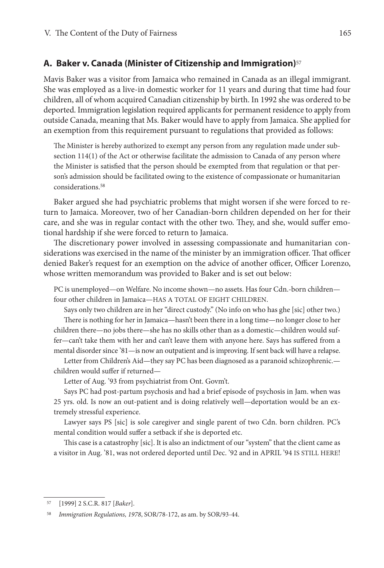## <span id="page-18-0"></span>**A. Baker v. Canada (Minister of Citizenship and Immigration)**<sup>57</sup>

Mavis Baker was a visitor from Jamaica who remained in Canada as an illegal immigrant. She was employed as a live-in domestic worker for 11 years and during that time had four children, all of whom acquired Canadian citizenship by birth. In 1992 she was ordered to be deported. Immigration legislation required applicants for permanent residence to apply from outside Canada, meaning that Ms. Baker would have to apply from Jamaica. She applied for an exemption from this requirement pursuant to regulations that provided as follows:

The Minister is hereby authorized to exempt any person from any regulation made under subsection 114(1) of the Act or otherwise facilitate the admission to Canada of any person where the Minister is satisfied that the person should be exempted from that regulation or that person's admission should be facilitated owing to the existence of compassionate or humanitarian considerations.58

Baker argued she had psychiatric problems that might worsen if she were forced to return to Jamaica. Moreover, two of her Canadian-born children depended on her for their care, and she was in regular contact with the other two. They, and she, would suffer emotional hardship if she were forced to return to Jamaica.

The discretionary power involved in assessing compassionate and humanitarian considerations was exercised in the name of the minister by an immigration officer. That officer denied Baker's request for an exemption on the advice of another officer, Officer Lorenzo, whose written memorandum was provided to Baker and is set out below:

PC is unemployed—on Welfare. No income shown—no assets. Has four Cdn.-born children four other children in Jamaica—HAS A TOTAL OF EIGHT CHILDREN.

Says only two children are in her "direct custody." (No info on who has ghe [sic] other two.) There is nothing for her in Jamaica—hasn't been there in a long time—no longer close to her children there—no jobs there—she has no skills other than as a domestic—children would suffer—can't take them with her and can't leave them with anyone here. Says has suffered from a mental disorder since '81—is now an outpatient and is improving. If sent back will have a relapse.

Letter from Children's Aid—they say PC has been diagnosed as a paranoid schizophrenic. children would suffer if returned—

Letter of Aug. '93 from psychiatrist from Ont. Govm't.

Says PC had post-partum psychosis and had a brief episode of psychosis in Jam. when was 25 yrs. old. Is now an out-patient and is doing relatively well—deportation would be an extremely stressful experience.

Lawyer says PS [sic] is sole caregiver and single parent of two Cdn. born children. PC's mental condition would suffer a setback if she is deported etc.

This case is a catastrophy [sic]. It is also an indictment of our"system" that the client came as a visitor in Aug. '81, was not ordered deported until Dec. '92 and in APRIL '94 IS STILL HERE!

<sup>57 [1999]</sup> 2 S.C.R. 817 [*Baker*].

<sup>58</sup> *Immigration Regulations, 1978*, SOR/78-172, as am. by SOR/93-44.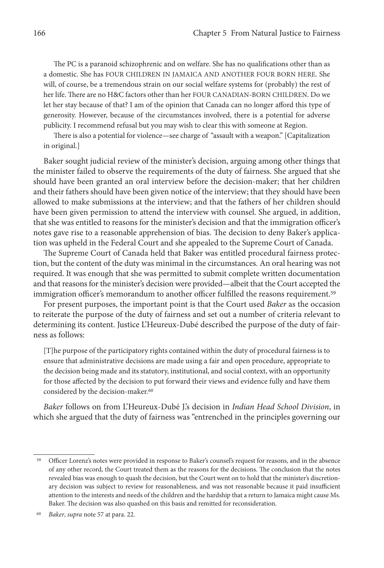The PC is a paranoid schizophrenic and on welfare. She has no qualifications other than as a domestic. She has FOUR CHILDREN IN JAMAICA AND ANOTHER FOUR BORN HERE. She will, of course, be a tremendous strain on our social welfare systems for (probably) the rest of her life. There are no H&C factors other than her FOUR CANADIAN-BORN CHILDREN. Do we let her stay because of that? I am of the opinion that Canada can no longer afford this type of generosity. However, because of the circumstances involved, there is a potential for adverse publicity. I recommend refusal but you may wish to clear this with someone at Region.

There is also a potential for violence—see charge of "assault with a weapon." [Capitalization in original.]

Baker sought judicial review of the minister's decision, arguing among other things that the minister failed to observe the requirements of the duty of fairness. She argued that she should have been granted an oral interview before the decision-maker; that her children and their fathers should have been given notice of the interview; that they should have been allowed to make submissions at the interview; and that the fathers of her children should have been given permission to attend the interview with counsel. She argued, in addition, that she was entitled to reasons for the minister's decision and that the immigration officer's notes gave rise to a reasonable apprehension of bias. The decision to deny Baker's application was upheld in the Federal Court and she appealed to the Supreme Court of Canada.

The Supreme Court of Canada held that Baker was entitled procedural fairness protection, but the content of the duty was minimal in the circumstances. An oral hearing was not required. It was enough that she was permitted to submit complete written documentation and that reasons for the minister's decision were provided—albeit that the Court accepted the immigration officer's memorandum to another officer fulfilled the reasons requirement.<sup>59</sup>

For present purposes, the important point is that the Court used *Baker* as the occasion to reiterate the purpose of the duty of fairness and set out a number of criteria relevant to determining its content. Justice L'Heureux-Dubé described the purpose of the duty of fairness as follows:

[T]he purpose of the participatory rights contained within the duty of procedural fairness is to ensure that administrative decisions are made using a fair and open procedure, appropriate to the decision being made and its statutory, institutional, and social context, with an opportunity for those affected by the decision to put forward their views and evidence fully and have them considered by the decision-maker.<sup>60</sup>

*Baker* follows on from L'Heureux-Dubé J.'s decision in *Indian Head School Division*, in which she argued that the duty of fairness was "entrenched in the principles governing our

<sup>59</sup> Officer Lorenz's notes were provided in response to Baker's counsel's request for reasons, and in the absence of any other record, the Court treated them as the reasons for the decisions. The conclusion that the notes revealed bias was enough to quash the decision, but the Court went on to hold that the minister's discretionary decision was subject to review for reasonableness, and was not reasonable because it paid insufficient attention to the interests and needs of the children and the hardship that a return to Jamaica might cause Ms. Baker. The decision was also quashed on this basis and remitted for reconsideration.

<sup>60</sup> *Baker*, *supra* note 57 at para. 22.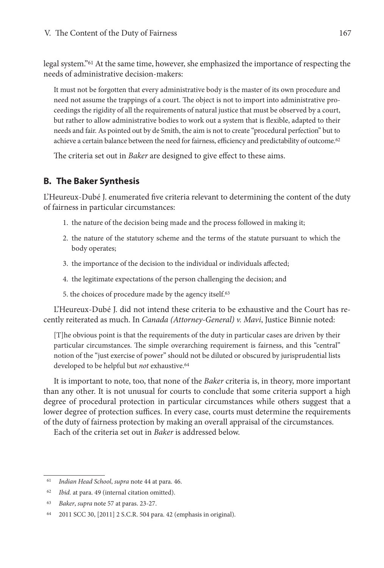<span id="page-20-0"></span>legal system."61 At the same time, however, she emphasized the importance of respecting the needs of administrative decision-makers:

It must not be forgotten that every administrative body is the master of its own procedure and need not assume the trappings of a court. The object is not to import into administrative proceedings the rigidity of all the requirements of natural justice that must be observed by a court, but rather to allow administrative bodies to work out a system that is flexible, adapted to their needs and fair. As pointed out by de Smith, the aim is not to create "procedural perfection" but to achieve a certain balance between the need for fairness, efficiency and predictability of outcome.<sup>62</sup>

The criteria set out in *Baker* are designed to give effect to these aims.

# **B. The Baker Synthesis**

L'Heureux-Dubé J. enumerated five criteria relevant to determining the content of the duty of fairness in particular circumstances:

- 1. the nature of the decision being made and the process followed in making it;
- 2. the nature of the statutory scheme and the terms of the statute pursuant to which the body operates;
- 3. the importance of the decision to the individual or individuals affected;
- 4. the legitimate expectations of the person challenging the decision; and
- 5. the choices of procedure made by the agency itself.63

L'Heureux-Dubé J. did not intend these criteria to be exhaustive and the Court has recently reiterated as much. In *Canada (Attorney-General) v. Mavi*, Justice Binnie noted:

[T]he obvious point is that the requirements of the duty in particular cases are driven by their particular circumstances. The simple overarching requirement is fairness, and this "central" notion of the "just exercise of power" should not be diluted or obscured by jurisprudential lists developed to be helpful but *not* exhaustive.<sup>64</sup>

It is important to note, too, that none of the *Baker* criteria is, in theory, more important than any other. It is not unusual for courts to conclude that some criteria support a high degree of procedural protection in particular circumstances while others suggest that a lower degree of protection suffices. In every case, courts must determine the requirements of the duty of fairness protection by making an overall appraisal of the circumstances.

Each of the criteria set out in *Baker* is addressed below.

<sup>61</sup> *Indian Head School*, *supra* note 44 at para. 46.

<sup>62</sup> *Ibid.* at para. 49 (internal citation omitted).

<sup>63</sup> *Baker*, *supra* note 57 at paras. 23-27.

<sup>64 2011</sup> SCC 30, [2011] 2 S.C.R. 504 para. 42 (emphasis in original).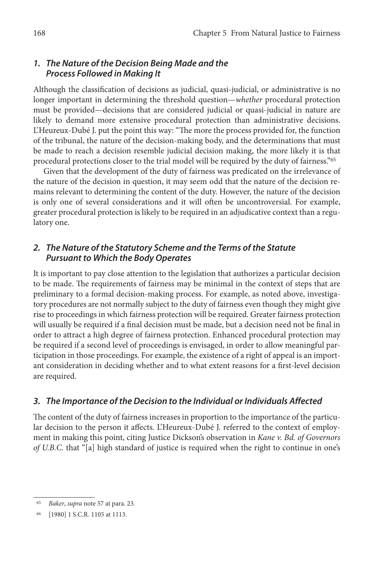## <span id="page-21-0"></span>*1. The Nature of the Decision Being Made and the Process Followed in Making It*

Although the classification of decisions as judicial, quasi-judicial, or administrative is no longer important in determining the threshold question—*whether* procedural protection must be provided—decisions that are considered judicial or quasi-judicial in nature are likely to demand more extensive procedural protection than administrative decisions. L'Heureux-Dubé J. put the point this way: "The more the process provided for, the function of the tribunal, the nature of the decision-making body, and the determinations that must be made to reach a decision resemble judicial decision making, the more likely it is that procedural protections closer to the trial model will be required by the duty of fairness."65

Given that the development of the duty of fairness was predicated on the irrelevance of the nature of the decision in question, it may seem odd that the nature of the decision remains relevant to determining the content of the duty. However, the nature of the decision is only one of several considerations and it will often be uncontroversial. For example, greater procedural protection is likely to be required in an adjudicative context than a regulatory one.

# *2. The Nature of the Statutory Scheme and the Terms of the Statute Pursuant to Which the Body Operates*

It is important to pay close attention to the legislation that authorizes a particular decision to be made. The requirements of fairness may be minimal in the context of steps that are preliminary to a formal decision-making process. For example, as noted above, investigatory procedures are not normally subject to the duty of fairness even though they might give rise to proceedings in which fairness protection will be required. Greater fairness protection will usually be required if a final decision must be made, but a decision need not be final in order to attract a high degree of fairness protection. Enhanced procedural protection may be required if a second level of proceedings is envisaged, in order to allow meaningful participation in those proceedings. For example, the existence of a right of appeal is an important consideration in deciding whether and to what extent reasons for a first-level decision are required.

# *3. The Importance of the Decision to the Individual or Individuals Affected*

The content of the duty of fairness increases in proportion to the importance of the particular decision to the person it affects. L'Heureux-Dubé J. referred to the context of employment in making this point, citing Justice Dickson's observation in *Kane v. Bd. of Governors of U.B.C.* that "[a] high standard of justice is required when the right to continue in one's

<sup>65</sup> *Baker*, *supra* note 57 at para. 23.

<sup>66 [1980]</sup> 1 S.C.R. 1105 at 1113.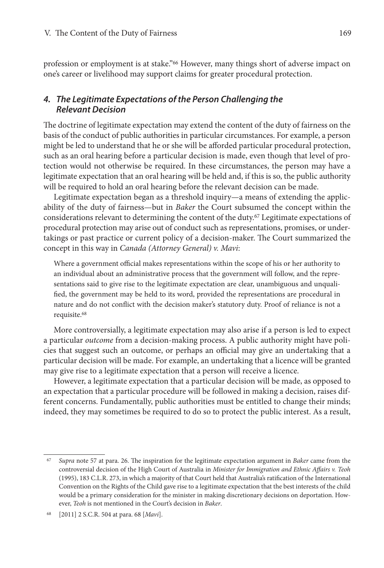<span id="page-22-0"></span>profession or employment is at stake."66 However, many things short of adverse impact on one's career or livelihood may support claims for greater procedural protection.

## *4. The Legitimate Expectations of the Person Challenging the Relevant Decision*

The doctrine of legitimate expectation may extend the content of the duty of fairness on the basis of the conduct of public authorities in particular circumstances. For example, a person might be led to understand that he or she will be afforded particular procedural protection, such as an oral hearing before a particular decision is made, even though that level of protection would not otherwise be required. In these circumstances, the person may have a legitimate expectation that an oral hearing will be held and, if this is so, the public authority will be required to hold an oral hearing before the relevant decision can be made.

Legitimate expectation began as a threshold inquiry—a means of extending the applicability of the duty of fairness—but in *Baker* the Court subsumed the concept within the considerations relevant to determining the content of the duty.67 Legitimate expectations of procedural protection may arise out of conduct such as representations, promises, or undertakings or past practice or current policy of a decision-maker. The Court summarized the concept in this way in *Canada (Attorney General) v. Mavi*:

Where a government official makes representations within the scope of his or her authority to an individual about an administrative process that the government will follow, and the representations said to give rise to the legitimate expectation are clear, unambiguous and unqualified, the government may be held to its word, provided the representations are procedural in nature and do not conflict with the decision maker's statutory duty. Proof of reliance is not a requisite.68

More controversially, a legitimate expectation may also arise if a person is led to expect a particular *outcome* from a decision-making process. A public authority might have policies that suggest such an outcome, or perhaps an official may give an undertaking that a particular decision will be made. For example, an undertaking that a licence will be granted may give rise to a legitimate expectation that a person will receive a licence.

However, a legitimate expectation that a particular decision will be made, as opposed to an expectation that a particular procedure will be followed in making a decision, raises different concerns. Fundamentally, public authorities must be entitled to change their minds; indeed, they may sometimes be required to do so to protect the public interest. As a result,

<sup>67</sup> *Supra* note 57 at para. 26. The inspiration for the legitimate expectation argument in *Baker* came from the controversial decision of the High Court of Australia in *Minister for Immigration and Ethnic Affairs v. Teoh* (1995), 183 C.L.R. 273, in which a majority of that Court held that Australia's ratification of the International Convention on the Rights of the Child gave rise to a legitimate expectation that the best interests of the child would be a primary consideration for the minister in making discretionary decisions on deportation. However, *Teoh* is not mentioned in the Court's decision in *Baker*.

<sup>68 [2011]</sup> 2 S.C.R. 504 at para. 68 [*Mavi*].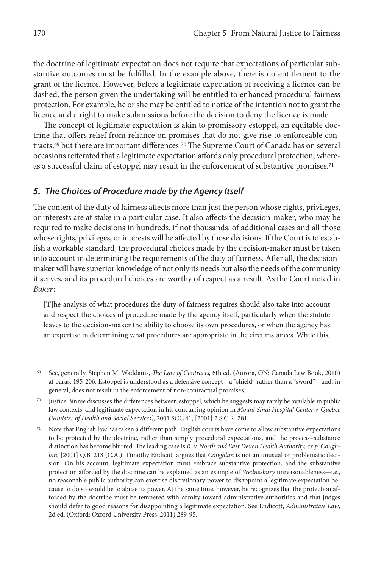<span id="page-23-0"></span>the doctrine of legitimate expectation does not require that expectations of particular substantive outcomes must be fulfilled. In the example above, there is no entitlement to the grant of the licence. However, before a legitimate expectation of receiving a licence can be dashed, the person given the undertaking will be entitled to enhanced procedural fairness protection. For example, he or she may be entitled to notice of the intention not to grant the licence and a right to make submissions before the decision to deny the licence is made.

The concept of legitimate expectation is akin to promissory estoppel, an equitable doctrine that offers relief from reliance on promises that do not give rise to enforceable contracts,69 but there are important differences.70 The Supreme Court of Canada has on several occasions reiterated that a legitimate expectation affords only procedural protection, whereas a successful claim of estoppel may result in the enforcement of substantive promises.71

## *5. The Choices of Procedure made by the Agency Itself*

The content of the duty of fairness affects more than just the person whose rights, privileges, or interests are at stake in a particular case. It also affects the decision-maker, who may be required to make decisions in hundreds, if not thousands, of additional cases and all those whose rights, privileges, or interests will be affected by those decisions. If the Court is to establish a workable standard, the procedural choices made by the decision-maker must be taken into account in determining the requirements of the duty of fairness. After all, the decisionmaker will have superior knowledge of not only its needs but also the needs of the community it serves, and its procedural choices are worthy of respect as a result. As the Court noted in *Baker*:

[T]he analysis of what procedures the duty of fairness requires should also take into account and respect the choices of procedure made by the agency itself, particularly when the statute leaves to the decision-maker the ability to choose its own procedures, or when the agency has an expertise in determining what procedures are appropriate in the circumstances. While this,

<sup>69</sup> See, generally, Stephen M. Waddams, *The Law of Contracts*, 6th ed. (Aurora, ON: Canada Law Book, 2010) at paras. 195-206. Estoppel is understood as a defensive concept—a "shield" rather than a "sword"—and, in general, does not result in the enforcement of non-contractual promises.

<sup>&</sup>lt;sup>70</sup> Justice Binnie discusses the differences between estoppel, which he suggests may rarely be available in public law contexts, and legitimate expectation in his concurring opinion in *Mount Sinai Hospital Center v. Quebec (Minister of Health and Social Services)*, 2001 SCC 41, [2001] 2 S.C.R. 281.

<sup>71</sup> Note that English law has taken a different path. English courts have come to allow substantive expectations to be protected by the doctrine, rather than simply procedural expectations, and the process–substance distinction has become blurred. The leading case is *R. v. North and East Devon Health Authority, ex p. Coughlan*, [2001] Q.B. 213 (C.A.). Timothy Endicott argues that *Coughlan* is not an unusual or problematic decision. On his account, legitimate expectation must embrace substantive protection, and the substantive protection afforded by the doctrine can be explained as an example of *Wednesbury* unreasonableness—i.e., no reasonable public authority can exercise discretionary power to disappoint a legitimate expectation because to do so would be to abuse its power. At the same time, however, he recognizes that the protection afforded by the doctrine must be tempered with comity toward administrative authorities and that judges should defer to good reasons for disappointing a legitimate expectation. See Endicott, *Administrative Law*, 2d ed. (Oxford: Oxford University Press, 2011) 289-95.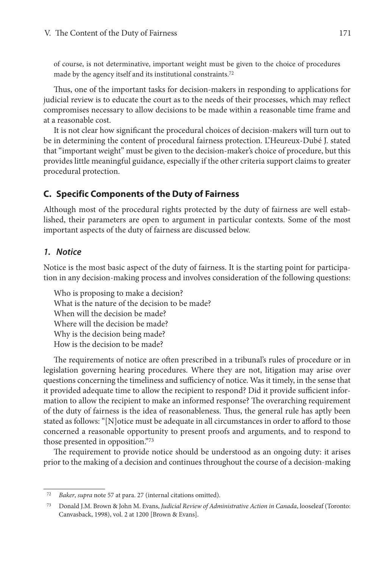<span id="page-24-0"></span>of course, is not determinative, important weight must be given to the choice of procedures made by the agency itself and its institutional constraints.72

Thus, one of the important tasks for decision-makers in responding to applications for judicial review is to educate the court as to the needs of their processes, which may reflect compromises necessary to allow decisions to be made within a reasonable time frame and at a reasonable cost.

It is not clear how significant the procedural choices of decision-makers will turn out to be in determining the content of procedural fairness protection. L'Heureux-Dubé J. stated that "important weight" must be given to the decision-maker's choice of procedure, but this provides little meaningful guidance, especially if the other criteria support claims to greater procedural protection.

### **C. Specific Components of the Duty of Fairness**

Although most of the procedural rights protected by the duty of fairness are well established, their parameters are open to argument in particular contexts. Some of the most important aspects of the duty of fairness are discussed below.

#### *1. Notice*

Notice is the most basic aspect of the duty of fairness. It is the starting point for participation in any decision-making process and involves consideration of the following questions:

Who is proposing to make a decision? What is the nature of the decision to be made? When will the decision be made? Where will the decision be made? Why is the decision being made? How is the decision to be made?

The requirements of notice are often prescribed in a tribunal's rules of procedure or in legislation governing hearing procedures. Where they are not, litigation may arise over questions concerning the timeliness and sufficiency of notice. Was it timely, in the sense that it provided adequate time to allow the recipient to respond? Did it provide sufficient information to allow the recipient to make an informed response? The overarching requirement of the duty of fairness is the idea of reasonableness. Thus, the general rule has aptly been stated as follows: "[N]otice must be adequate in all circumstances in order to afford to those concerned a reasonable opportunity to present proofs and arguments, and to respond to those presented in opposition."73

The requirement to provide notice should be understood as an ongoing duty: it arises prior to the making of a decision and continues throughout the course of a decision-making

<sup>72</sup> *Baker*, *supra* note 57 at para. 27 (internal citations omitted).

<sup>73</sup> Donald J.M. Brown & John M. Evans, *Judicial Review of Administrative Action in Canada*, looseleaf (Toronto: Canvasback, 1998), vol. 2 at 1200 [Brown & Evans].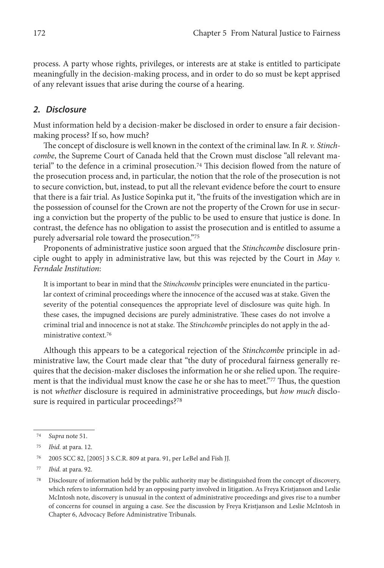<span id="page-25-0"></span>process. A party whose rights, privileges, or interests are at stake is entitled to participate meaningfully in the decision-making process, and in order to do so must be kept apprised of any relevant issues that arise during the course of a hearing.

#### *2. Disclosure*

Must information held by a decision-maker be disclosed in order to ensure a fair decisionmaking process? If so, how much?

The concept of disclosure is well known in the context of the criminal law. In *R. v. Stinchcombe*, the Supreme Court of Canada held that the Crown must disclose "all relevant material" to the defence in a criminal prosecution.74 This decision flowed from the nature of the prosecution process and, in particular, the notion that the role of the prosecution is not to secure conviction, but, instead, to put all the relevant evidence before the court to ensure that there is a fair trial. As Justice Sopinka put it, "the fruits of the investigation which are in the possession of counsel for the Crown are not the property of the Crown for use in securing a conviction but the property of the public to be used to ensure that justice is done. In contrast, the defence has no obligation to assist the prosecution and is entitled to assume a purely adversarial role toward the prosecution."75

Proponents of administrative justice soon argued that the *Stinchcombe* disclosure principle ought to apply in administrative law, but this was rejected by the Court in *May v. Ferndale Institution*:

It is important to bear in mind that the *Stinchcombe* principles were enunciated in the particular context of criminal proceedings where the innocence of the accused was at stake. Given the severity of the potential consequences the appropriate level of disclosure was quite high. In these cases, the impugned decisions are purely administrative. These cases do not involve a criminal trial and innocence is not at stake. The *Stinchcombe* principles do not apply in the administrative context.76

Although this appears to be a categorical rejection of the *Stinchcombe* principle in administrative law, the Court made clear that "the duty of procedural fairness generally requires that the decision-maker discloses the information he or she relied upon. The requirement is that the individual must know the case he or she has to meet."77 Thus, the question is not *whether* disclosure is required in administrative proceedings, but *how much* disclosure is required in particular proceedings?78

<sup>77</sup> *Ibid.* at para. 92.

<sup>74</sup> *Supra* note 51.

<sup>75</sup> *Ibid.* at para. 12.

<sup>76 2005</sup> SCC 82, [2005] 3 S.C.R. 809 at para. 91, per LeBel and Fish JJ.

<sup>78</sup> Disclosure of information held by the public authority may be distinguished from the concept of discovery, which refers to information held by an opposing party involved in litigation. As Freya Kristjanson and Leslie McIntosh note, discovery is unusual in the context of administrative proceedings and gives rise to a number of concerns for counsel in arguing a case. See the discussion by Freya Kristjanson and Leslie McIntosh in Chapter 6, Advocacy Before Administrative Tribunals.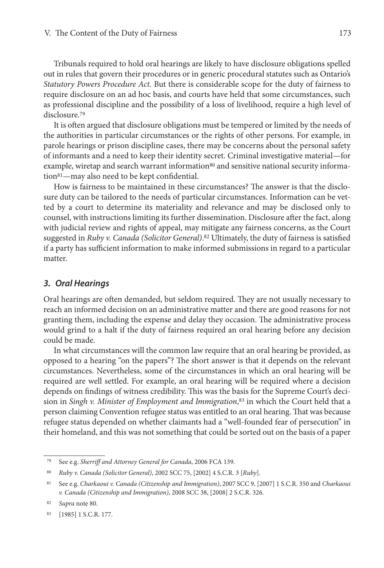<span id="page-26-0"></span>Tribunals required to hold oral hearings are likely to have disclosure obligations spelled out in rules that govern their procedures or in generic procedural statutes such as Ontario's *Statutory Powers Procedure Act*. But there is considerable scope for the duty of fairness to require disclosure on an ad hoc basis, and courts have held that some circumstances, such as professional discipline and the possibility of a loss of livelihood, require a high level of disclosure.79

It is often argued that disclosure obligations must be tempered or limited by the needs of the authorities in particular circumstances or the rights of other persons. For example, in parole hearings or prison discipline cases, there may be concerns about the personal safety of informants and a need to keep their identity secret. Criminal investigative material—for example, wiretap and search warrant information<sup>80</sup> and sensitive national security information81—may also need to be kept confidential.

How is fairness to be maintained in these circumstances? The answer is that the disclosure duty can be tailored to the needs of particular circumstances. Information can be vetted by a court to determine its materiality and relevance and may be disclosed only to counsel, with instructions limiting its further dissemination. Disclosure after the fact, along with judicial review and rights of appeal, may mitigate any fairness concerns, as the Court suggested in *Ruby v. Canada (Solicitor General)*. <sup>82</sup> Ultimately, the duty of fairness is satisfied if a party has sufficient information to make informed submissions in regard to a particular matter.

#### *3. Oral Hearings*

Oral hearings are often demanded, but seldom required. They are not usually necessary to reach an informed decision on an administrative matter and there are good reasons for not granting them, including the expense and delay they occasion. The administrative process would grind to a halt if the duty of fairness required an oral hearing before any decision could be made.

In what circumstances will the common law require that an oral hearing be provided, as opposed to a hearing "on the papers"? The short answer is that it depends on the relevant circumstances. Nevertheless, some of the circumstances in which an oral hearing will be required are well settled. For example, an oral hearing will be required where a decision depends on findings of witness credibility. This was the basis for the Supreme Court's decision in *Singh v. Minister of Employment and Immigration*, <sup>83</sup> in which the Court held that a person claiming Convention refugee status was entitled to an oral hearing. That was because refugee status depended on whether claimants had a "well-founded fear of persecution" in their homeland, and this was not something that could be sorted out on the basis of a paper

<sup>79</sup> See e.g. *Sherriff and Attorney General for Canada*, 2006 FCA 139.

<sup>80</sup> *Ruby v. Canada (Solicitor General)*, 2002 SCC 75, [2002] 4 S.C.R. 3 [*Ruby*].

<sup>81</sup> See e.g. *Charkaoui v. Canada (Citizenship and Immigration)*, 2007 SCC 9, [2007] 1 S.C.R. 350 and *Charkaoui v. Canada (Citizenship and Immigration)*, 2008 SCC 38, [2008] 2 S.C.R. 326.

<sup>82</sup> *Supra* note 80.

<sup>83 [1985]</sup> 1 S.C.R. 177.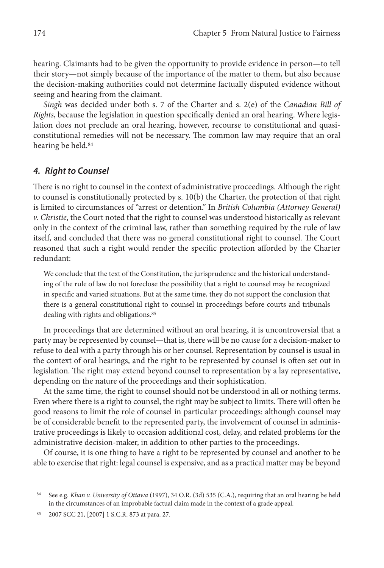<span id="page-27-0"></span>hearing. Claimants had to be given the opportunity to provide evidence in person—to tell their story—not simply because of the importance of the matter to them, but also because the decision-making authorities could not determine factually disputed evidence without seeing and hearing from the claimant.

*Singh* was decided under both s. 7 of the Charter and s. 2(e) of the *Canadian Bill of Rights*, because the legislation in question specifically denied an oral hearing. Where legislation does not preclude an oral hearing, however, recourse to constitutional and quasiconstitutional remedies will not be necessary. The common law may require that an oral hearing be held.84

## *4. Right to Counsel*

There is no right to counsel in the context of administrative proceedings. Although the right to counsel is constitutionally protected by s. 10(b) the Charter, the protection of that right is limited to circumstances of "arrest or detention." In *British Columbia (Attorney General) v. Christie*, the Court noted that the right to counsel was understood historically as relevant only in the context of the criminal law, rather than something required by the rule of law itself, and concluded that there was no general constitutional right to counsel. The Court reasoned that such a right would render the specific protection afforded by the Charter redundant:

We conclude that the text of the Constitution, the jurisprudence and the historical understanding of the rule of law do not foreclose the possibility that a right to counsel may be recognized in specific and varied situations. But at the same time, they do not support the conclusion that there is a general constitutional right to counsel in proceedings before courts and tribunals dealing with rights and obligations.85

In proceedings that are determined without an oral hearing, it is uncontroversial that a party may be represented by counsel—that is, there will be no cause for a decision-maker to refuse to deal with a party through his or her counsel. Representation by counsel is usual in the context of oral hearings, and the right to be represented by counsel is often set out in legislation. The right may extend beyond counsel to representation by a lay representative, depending on the nature of the proceedings and their sophistication.

At the same time, the right to counsel should not be understood in all or nothing terms. Even where there is a right to counsel, the right may be subject to limits. There will often be good reasons to limit the role of counsel in particular proceedings: although counsel may be of considerable benefit to the represented party, the involvement of counsel in administrative proceedings is likely to occasion additional cost, delay, and related problems for the administrative decision-maker, in addition to other parties to the proceedings.

Of course, it is one thing to have a right to be represented by counsel and another to be able to exercise that right: legal counsel is expensive, and as a practical matter may be beyond

<sup>84</sup> See e.g. *Khan v. University of Ottawa* (1997), 34 O.R. (3d) 535 (C.A.), requiring that an oral hearing be held in the circumstances of an improbable factual claim made in the context of a grade appeal.

<sup>85 2007</sup> SCC 21, [2007] 1 S.C.R. 873 at para. 27.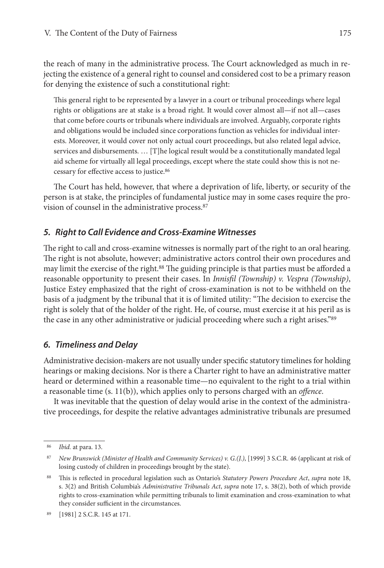<span id="page-28-0"></span>the reach of many in the administrative process. The Court acknowledged as much in rejecting the existence of a general right to counsel and considered cost to be a primary reason for denying the existence of such a constitutional right:

This general right to be represented by a lawyer in a court or tribunal proceedings where legal rights or obligations are at stake is a broad right. It would cover almost all—if not all—cases that come before courts or tribunals where individuals are involved. Arguably, corporate rights and obligations would be included since corporations function as vehicles for individual interests. Moreover, it would cover not only actual court proceedings, but also related legal advice, services and disbursements. … [T]he logical result would be a constitutionally mandated legal aid scheme for virtually all legal proceedings, except where the state could show this is not necessary for effective access to justice.86

The Court has held, however, that where a deprivation of life, liberty, or security of the person is at stake, the principles of fundamental justice may in some cases require the provision of counsel in the administrative process.87

# *5. Right to Call Evidence and Cross-Examine Witnesses*

The right to call and cross-examine witnesses is normally part of the right to an oral hearing. The right is not absolute, however; administrative actors control their own procedures and may limit the exercise of the right.<sup>88</sup> The guiding principle is that parties must be afforded a reasonable opportunity to present their cases. In *Innisfil (Township) v. Vespra (Township)*, Justice Estey emphasized that the right of cross-examination is not to be withheld on the basis of a judgment by the tribunal that it is of limited utility: "The decision to exercise the right is solely that of the holder of the right. He, of course, must exercise it at his peril as is the case in any other administrative or judicial proceeding where such a right arises."89

## *6. Timeliness and Delay*

Administrative decision-makers are not usually under specific statutory timelines for holding hearings or making decisions. Nor is there a Charter right to have an administrative matter heard or determined within a reasonable time—no equivalent to the right to a trial within a reasonable time (s. 11(b)), which applies only to persons charged with an *offence*.

It was inevitable that the question of delay would arise in the context of the administrative proceedings, for despite the relative advantages administrative tribunals are presumed

<sup>86</sup> *Ibid.* at para. 13.

<sup>87</sup> *New Brunswick (Minister of Health and Community Services) v. G.(J.)*, [1999] 3 S.C.R. 46 (applicant at risk of losing custody of children in proceedings brought by the state).

<sup>88</sup> This is reflected in procedural legislation such as Ontario's *Statutory Powers Procedure Act*, *supra* note 18, s. 3(2) and British Columbia's *Administrative Tribunals Act*, *supra* note 17, s. 38(2), both of which provide rights to cross-examination while permitting tribunals to limit examination and cross-examination to what they consider sufficient in the circumstances.

<sup>89 [1981]</sup> 2 S.C.R. 145 at 171.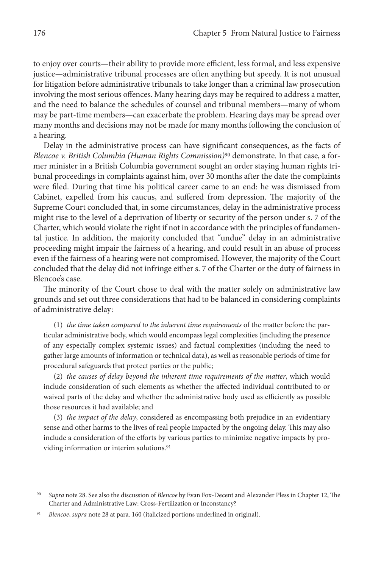to enjoy over courts—their ability to provide more efficient, less formal, and less expensive justice—administrative tribunal processes are often anything but speedy. It is not unusual for litigation before administrative tribunals to take longer than a criminal law prosecution involving the most serious offences. Many hearing days may be required to address a matter, and the need to balance the schedules of counsel and tribunal members—many of whom may be part-time members—can exacerbate the problem. Hearing days may be spread over many months and decisions may not be made for many months following the conclusion of a hearing.

Delay in the administrative process can have significant consequences, as the facts of *Blencoe v. British Columbia (Human Rights Commission)*<sup>90</sup> demonstrate. In that case, a former minister in a British Columbia government sought an order staying human rights tribunal proceedings in complaints against him, over 30 months after the date the complaints were filed. During that time his political career came to an end: he was dismissed from Cabinet, expelled from his caucus, and suffered from depression. The majority of the Supreme Court concluded that, in some circumstances, delay in the administrative process might rise to the level of a deprivation of liberty or security of the person under s. 7 of the Charter, which would violate the right if not in accordance with the principles of fundamental justice. In addition, the majority concluded that "undue" delay in an administrative proceeding might impair the fairness of a hearing, and could result in an abuse of process even if the fairness of a hearing were not compromised. However, the majority of the Court concluded that the delay did not infringe either s. 7 of the Charter or the duty of fairness in Blencoe's case.

The minority of the Court chose to deal with the matter solely on administrative law grounds and set out three considerations that had to be balanced in considering complaints of administrative delay:

(1) *the time taken compared to the inherent time requirements* of the matter before the particular administrative body, which would encompass legal complexities (including the presence of any especially complex systemic issues) and factual complexities (including the need to gather large amounts of information or technical data), as well as reasonable periods of time for procedural safeguards that protect parties or the public;

(2) *the causes of delay beyond the inherent time requirements of the matter*, which would include consideration of such elements as whether the affected individual contributed to or waived parts of the delay and whether the administrative body used as efficiently as possible those resources it had available; and

(3) *the impact of the delay*, considered as encompassing both prejudice in an evidentiary sense and other harms to the lives of real people impacted by the ongoing delay. This may also include a consideration of the efforts by various parties to minimize negative impacts by providing information or interim solutions.91

<sup>90</sup> *Supra* note 28. See also the discussion of *Blencoe* by Evan Fox-Decent and Alexander Pless in Chapter 12, The Charter and Administrative Law: Cross-Fertilization or Inconstancy?

<sup>91</sup> *Blencoe*, *supra* note 28 at para. 160 (italicized portions underlined in original).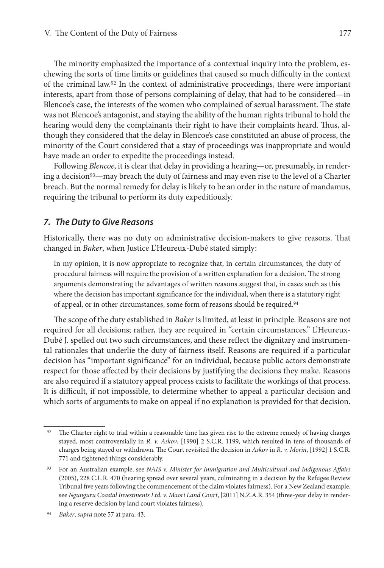<span id="page-30-0"></span>The minority emphasized the importance of a contextual inquiry into the problem, eschewing the sorts of time limits or guidelines that caused so much difficulty in the context of the criminal law.92 In the context of administrative proceedings, there were important interests, apart from those of persons complaining of delay, that had to be considered—in Blencoe's case, the interests of the women who complained of sexual harassment. The state was not Blencoe's antagonist, and staying the ability of the human rights tribunal to hold the hearing would deny the complainants their right to have their complaints heard. Thus, although they considered that the delay in Blencoe's case constituted an abuse of process, the minority of the Court considered that a stay of proceedings was inappropriate and would have made an order to expedite the proceedings instead.

Following *Blencoe*, it is clear that delay in providing a hearing—or, presumably, in rendering a decision93—may breach the duty of fairness and may even rise to the level of a Charter breach. But the normal remedy for delay is likely to be an order in the nature of mandamus, requiring the tribunal to perform its duty expeditiously.

#### *7. The Duty to Give Reasons*

Historically, there was no duty on administrative decision-makers to give reasons. That changed in *Baker*, when Justice L'Heureux-Dubé stated simply:

In my opinion, it is now appropriate to recognize that, in certain circumstances, the duty of procedural fairness will require the provision of a written explanation for a decision. The strong arguments demonstrating the advantages of written reasons suggest that, in cases such as this where the decision has important significance for the individual, when there is a statutory right of appeal, or in other circumstances, some form of reasons should be required.<sup>94</sup>

The scope of the duty established in *Baker* is limited, at least in principle. Reasons are not required for all decisions; rather, they are required in "certain circumstances." L'Heureux-Dubé J. spelled out two such circumstances, and these reflect the dignitary and instrumental rationales that underlie the duty of fairness itself. Reasons are required if a particular decision has "important significance" for an individual, because public actors demonstrate respect for those affected by their decisions by justifying the decisions they make. Reasons are also required if a statutory appeal process exists to facilitate the workings of that process. It is difficult, if not impossible, to determine whether to appeal a particular decision and which sorts of arguments to make on appeal if no explanation is provided for that decision.

<sup>&</sup>lt;sup>92</sup> The Charter right to trial within a reasonable time has given rise to the extreme remedy of having charges stayed, most controversially in *R. v. Askov*, [1990] 2 S.C.R. 1199, which resulted in tens of thousands of charges being stayed or withdrawn. The Court revisited the decision in *Askov* in *R. v. Morin*, [1992] 1 S.C.R. 771 and tightened things considerably.

<sup>&</sup>lt;sup>93</sup> For an Australian example, see *NAIS v. Minister for Immigration and Multicultural and Indigenous Affairs* (2005), 228 C.L.R. 470 (hearing spread over several years, culminating in a decision by the Refugee Review Tribunal five years following the commencement of the claim violates fairness). For a New Zealand example, see *Ngunguru Coastal Investments Ltd. v. Maori Land Court*, [2011] N.Z.A.R. 354 (three-year delay in rendering a reserve decision by land court violates fairness).

<sup>94</sup> *Baker*, *supra* note 57 at para. 43.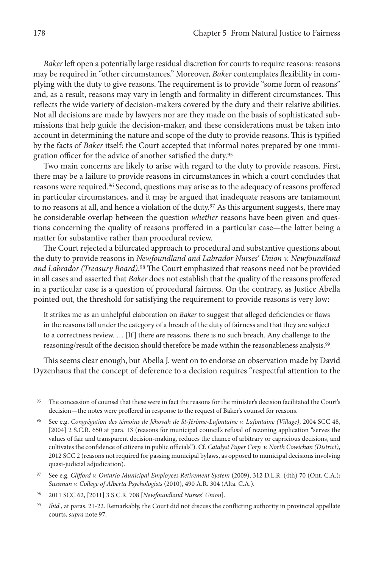*Baker* left open a potentially large residual discretion for courts to require reasons: reasons may be required in "other circumstances." Moreover, *Baker* contemplates flexibility in complying with the duty to give reasons. The requirement is to provide "some form of reasons" and, as a result, reasons may vary in length and formality in different circumstances. This reflects the wide variety of decision-makers covered by the duty and their relative abilities. Not all decisions are made by lawyers nor are they made on the basis of sophisticated submissions that help guide the decision-maker, and these considerations must be taken into account in determining the nature and scope of the duty to provide reasons. This is typified by the facts of *Baker* itself: the Court accepted that informal notes prepared by one immigration officer for the advice of another satisfied the duty.95

Two main concerns are likely to arise with regard to the duty to provide reasons. First, there may be a failure to provide reasons in circumstances in which a court concludes that reasons were required.96 Second, questions may arise as to the adequacy of reasons proffered in particular circumstances, and it may be argued that inadequate reasons are tantamount to no reasons at all, and hence a violation of the duty.<sup>97</sup> As this argument suggests, there may be considerable overlap between the question *whether* reasons have been given and questions concerning the quality of reasons proffered in a particular case—the latter being a matter for substantive rather than procedural review.

The Court rejected a bifurcated approach to procedural and substantive questions about the duty to provide reasons in *Newfoundland and Labrador Nurses' Union v. Newfoundland and Labrador (Treasury Board)*. <sup>98</sup> The Court emphasized that reasons need not be provided in all cases and asserted that *Baker* does not establish that the quality of the reasons proffered in a particular case is a question of procedural fairness. On the contrary, as Justice Abella pointed out, the threshold for satisfying the requirement to provide reasons is very low:

It strikes me as an unhelpful elaboration on *Baker* to suggest that alleged deficiencies or flaws in the reasons fall under the category of a breach of the duty of fairness and that they are subject to a correctness review. … [If ] there *are* reasons, there is no such breach. Any challenge to the reasoning/result of the decision should therefore be made within the reasonableness analysis.99

This seems clear enough, but Abella J. went on to endorse an observation made by David Dyzenhaus that the concept of deference to a decision requires "respectful attention to the

<sup>&</sup>lt;sup>95</sup> The concession of counsel that these were in fact the reasons for the minister's decision facilitated the Court's decision—the notes were proffered in response to the request of Baker's counsel for reasons.

<sup>96</sup> See e.g. *Congrégation des témoins de Jéhovah de St-Jérôme-Lafontaine v. Lafontaine (Village)*, 2004 SCC 48, [2004] 2 S.C.R. 650 at para. 13 (reasons for municipal council's refusal of rezoning application "serves the values of fair and transparent decision-making, reduces the chance of arbitrary or capricious decisions, and cultivates the confidence of citizens in public officials"). Cf. *Catalyst Paper Corp. v. North Cowichan (District)*, 2012 SCC 2 (reasons not required for passing municipal bylaws, as opposed to municipal decisions involving quasi-judicial adjudication).

<sup>&</sup>lt;sup>97</sup> See e.g. *Clifford v. Ontario Municipal Employees Retirement System* (2009), 312 D.L.R. (4th) 70 (Ont. C.A.); *Sussman v. College of Alberta Psychologists* (2010), 490 A.R. 304 (Alta. C.A.).

<sup>98 2011</sup> SCC 62, [2011] 3 S.C.R. 708 [*Newfoundland Nurses' Union*].

<sup>99</sup> *Ibid.*, at paras. 21-22. Remarkably, the Court did not discuss the conflicting authority in provincial appellate courts, *supra* note 97.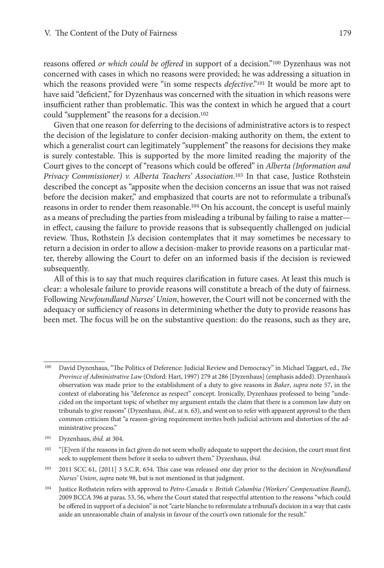reasons offered *or which could be offered* in support of a decision."100 Dyzenhaus was not concerned with cases in which no reasons were provided; he was addressing a situation in which the reasons provided were "in some respects *defective*."101 It would be more apt to have said "deficient," for Dyzenhaus was concerned with the situation in which reasons were insufficient rather than problematic. This was the context in which he argued that a court could "supplement" the reasons for a decision.102

Given that one reason for deferring to the decisions of administrative actors is to respect the decision of the legislature to confer decision-making authority on them, the extent to which a generalist court can legitimately "supplement" the reasons for decisions they make is surely contestable. This is supported by the more limited reading the majority of the Court gives to the concept of "reasons which could be offered" in *Alberta (Information and Privacy Commissioner) v. Alberta Teachers' Association*. <sup>103</sup> In that case, Justice Rothstein described the concept as "apposite when the decision concerns an issue that was not raised before the decision maker," and emphasized that courts are not to reformulate a tribunal's reasons in order to render them reasonable.104 On his account, the concept is useful mainly as a means of precluding the parties from misleading a tribunal by failing to raise a matter in effect, causing the failure to provide reasons that is subsequently challenged on judicial review. Thus, Rothstein J.'s decision contemplates that it may sometimes be necessary to return a decision in order to allow a decision-maker to provide reasons on a particular matter, thereby allowing the Court to defer on an informed basis if the decision is reviewed subsequently.

All of this is to say that much requires clarification in future cases. At least this much is clear: a wholesale failure to provide reasons will constitute a breach of the duty of fairness. Following *Newfoundland Nurses' Union*, however, the Court will not be concerned with the adequacy or sufficiency of reasons in determining whether the duty to provide reasons has been met. The focus will be on the substantive question: do the reasons, such as they are,

<sup>100</sup> David Dyzenhaus, "The Politics of Deference: Judicial Review and Democracy" in Michael Taggart, ed., *The Province of Administrative Law* (Oxford: Hart, 1997) 279 at 286 [Dyzenhaus] (emphasis added). Dyzenhaus's observation was made prior to the establishment of a duty to give reasons in *Baker*, *supra* note 57, in the context of elaborating his "deference as respect" concept. Ironically, Dyzenhaus professed to being "undecided on the important topic of whether my argument entails the claim that there is a common law duty on tribunals to give reasons" (Dyzenhaus, *ibid.*, at n. 63), and went on to refer with apparent approval to the then common criticism that "a reason-giving requirement invites both judicial activism and distortion of the administrative process."

<sup>101</sup> Dyzenhaus, *ibid.* at 304.

<sup>&</sup>lt;sup>102</sup> "[E]ven if the reasons in fact given do not seem wholly adequate to support the decision, the court must first seek to supplement them before it seeks to subvert them." Dyzenhaus, *ibid.*

<sup>103 2011</sup> SCC 61, [2011] 3 S.C.R. 654. This case was released one day prior to the decision in *Newfoundland Nurses' Union*, *supra* note 98, but is not mentioned in that judgment.

<sup>104</sup> Justice Rothstein refers with approval to *Petro-Canada v. British Columbia (Workers' Compensation Board)*, 2009 BCCA 396 at paras. 53, 56, where the Court stated that respectful attention to the reasons "which could be offered in support of a decision" is not"carte blanche to reformulate a tribunal's decision in a way that casts aside an unreasonable chain of analysis in favour of the court's own rationale for the result."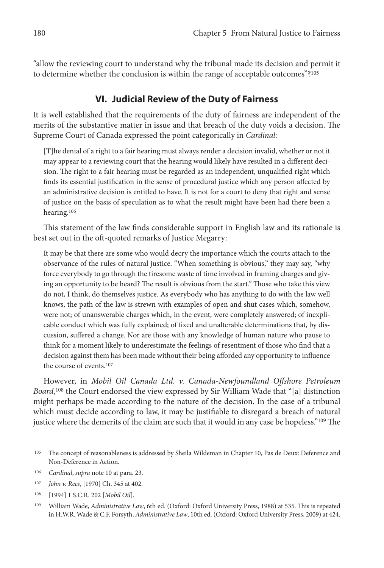<span id="page-33-0"></span>"allow the reviewing court to understand why the tribunal made its decision and permit it to determine whether the conclusion is within the range of acceptable outcomes"?105

## **VI. Judicial Review of the Duty of Fairness**

It is well established that the requirements of the duty of fairness are independent of the merits of the substantive matter in issue and that breach of the duty voids a decision. The Supreme Court of Canada expressed the point categorically in *Cardinal*:

[T]he denial of a right to a fair hearing must always render a decision invalid, whether or not it may appear to a reviewing court that the hearing would likely have resulted in a different decision. The right to a fair hearing must be regarded as an independent, unqualified right which finds its essential justification in the sense of procedural justice which any person affected by an administrative decision is entitled to have. It is not for a court to deny that right and sense of justice on the basis of speculation as to what the result might have been had there been a hearing.106

This statement of the law finds considerable support in English law and its rationale is best set out in the oft-quoted remarks of Justice Megarry:

It may be that there are some who would decry the importance which the courts attach to the observance of the rules of natural justice. "When something is obvious," they may say, "why force everybody to go through the tiresome waste of time involved in framing charges and giving an opportunity to be heard? The result is obvious from the start." Those who take this view do not, I think, do themselves justice. As everybody who has anything to do with the law well knows, the path of the law is strewn with examples of open and shut cases which, somehow, were not; of unanswerable charges which, in the event, were completely answered; of inexplicable conduct which was fully explained; of fixed and unalterable determinations that, by discussion, suffered a change. Nor are those with any knowledge of human nature who pause to think for a moment likely to underestimate the feelings of resentment of those who find that a decision against them has been made without their being afforded any opportunity to influence the course of events.107

However, in *Mobil Oil Canada Ltd. v. Canada-Newfoundland Offshore Petroleum Board*, <sup>108</sup> the Court endorsed the view expressed by Sir William Wade that "[a] distinction might perhaps be made according to the nature of the decision. In the case of a tribunal which must decide according to law, it may be justifiable to disregard a breach of natural justice where the demerits of the claim are such that it would in any case be hopeless."<sup>109</sup> The

<sup>&</sup>lt;sup>105</sup> The concept of reasonableness is addressed by Sheila Wildeman in Chapter 10, Pas de Deux: Deference and Non-Deference in Action.

<sup>106</sup> *Cardinal*, *supra* note 10 at para. 23.

<sup>107</sup> *John v. Rees*, [1970] Ch. 345 at 402.

<sup>108 [1994]</sup> 1 S.C.R. 202 [*Mobil Oil*].

<sup>109</sup> William Wade, *Administrative Law*, 6th ed. (Oxford: Oxford University Press, 1988) at 535. This is repeated in H.W.R. Wade & C.F. Forsyth, *Administrative Law*, 10th ed. (Oxford: Oxford University Press, 2009) at 424.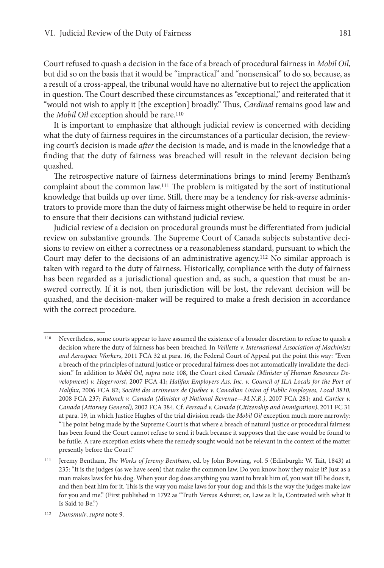Court refused to quash a decision in the face of a breach of procedural fairness in *Mobil Oil*, but did so on the basis that it would be "impractical" and "nonsensical" to do so, because, as a result of a cross-appeal, the tribunal would have no alternative but to reject the application in question. The Court described these circumstances as "exceptional," and reiterated that it "would not wish to apply it [the exception] broadly." Thus, *Cardinal* remains good law and the *Mobil Oil* exception should be rare.<sup>110</sup>

It is important to emphasize that although judicial review is concerned with deciding what the duty of fairness requires in the circumstances of a particular decision, the reviewing court's decision is made *after* the decision is made, and is made in the knowledge that a finding that the duty of fairness was breached will result in the relevant decision being quashed.

The retrospective nature of fairness determinations brings to mind Jeremy Bentham's complaint about the common law.111 The problem is mitigated by the sort of institutional knowledge that builds up over time. Still, there may be a tendency for risk-averse administrators to provide more than the duty of fairness might otherwise be held to require in order to ensure that their decisions can withstand judicial review.

Judicial review of a decision on procedural grounds must be differentiated from judicial review on substantive grounds. The Supreme Court of Canada subjects substantive decisions to review on either a correctness or a reasonableness standard, pursuant to which the Court may defer to the decisions of an administrative agency.<sup>112</sup> No similar approach is taken with regard to the duty of fairness. Historically, compliance with the duty of fairness has been regarded as a jurisdictional question and, as such, a question that must be answered correctly. If it is not, then jurisdiction will be lost, the relevant decision will be quashed, and the decision-maker will be required to make a fresh decision in accordance with the correct procedure.

<sup>&</sup>lt;sup>110</sup> Nevertheless, some courts appear to have assumed the existence of a broader discretion to refuse to quash a decision where the duty of fairness has been breached. In *Veillette v. International Association of Machinists and Aerospace Workers*, 2011 FCA 32 at para. 16, the Federal Court of Appeal put the point this way: "Even a breach of the principles of natural justice or procedural fairness does not automatically invalidate the decision." In addition to *Mobil Oil*, *supra* note 108, the Court cited *Canada (Minister of Human Resources Development) v. Hogervorst*, 2007 FCA 41; *Halifax Employers Ass. Inc. v. Council of ILA Locals for the Port of Halifax*, 2006 FCA 82; *Société des arrimeurs de Québec v. Canadian Union of Public Employees, Local 3810*, 2008 FCA 237; *Palonek v. Canada (Minister of National Revenue—M.N.R.)*, 2007 FCA 281; and *Cartier v. Canada (Attorney General)*, 2002 FCA 384. Cf. *Persaud v. Canada (Citizenship and Immigration)*, 2011 FC 31 at para. 19, in which Justice Hughes of the trial division reads the *Mobil Oil* exception much more narrowly: "The point being made by the Supreme Court is that where a breach of natural justice or procedural fairness has been found the Court cannot refuse to send it back because it supposes that the case would be found to be futile. A rare exception exists where the remedy sought would not be relevant in the context of the matter presently before the Court."

<sup>111</sup> Jeremy Bentham, *The Works of Jeremy Bentham*, ed. by John Bowring, vol. 5 (Edinburgh: W. Tait, 1843) at 235: "It is the judges (as we have seen) that make the common law. Do you know how they make it? Just as a man makes laws for his dog. When your dog does anything you want to break him of, you wait till he does it, and then beat him for it. This is the way you make laws for your dog: and this is the way the judges make law for you and me." (First published in 1792 as "Truth Versus Ashurst; or, Law as It Is, Contrasted with what It Is Said to Be.")

<sup>112</sup> *Dunsmuir*, *supra* note 9.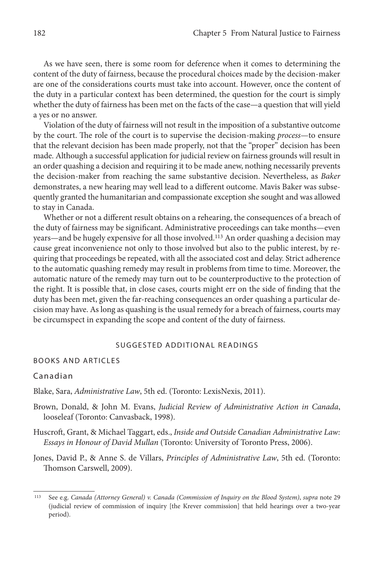<span id="page-35-0"></span>As we have seen, there is some room for deference when it comes to determining the content of the duty of fairness, because the procedural choices made by the decision-maker are one of the considerations courts must take into account. However, once the content of the duty in a particular context has been determined, the question for the court is simply whether the duty of fairness has been met on the facts of the case—a question that will yield a yes or no answer.

Violation of the duty of fairness will not result in the imposition of a substantive outcome by the court. The role of the court is to supervise the decision-making *process*—to ensure that the relevant decision has been made properly, not that the "proper" decision has been made. Although a successful application for judicial review on fairness grounds will result in an order quashing a decision and requiring it to be made anew, nothing necessarily prevents the decision-maker from reaching the same substantive decision. Nevertheless, as *Baker* demonstrates, a new hearing may well lead to a different outcome. Mavis Baker was subsequently granted the humanitarian and compassionate exception she sought and was allowed to stay in Canada.

Whether or not a different result obtains on a rehearing, the consequences of a breach of the duty of fairness may be significant. Administrative proceedings can take months—even years—and be hugely expensive for all those involved.113 An order quashing a decision may cause great inconvenience not only to those involved but also to the public interest, by requiring that proceedings be repeated, with all the associated cost and delay. Strict adherence to the automatic quashing remedy may result in problems from time to time. Moreover, the automatic nature of the remedy may turn out to be counterproductive to the protection of the right. It is possible that, in close cases, courts might err on the side of finding that the duty has been met, given the far-reaching consequences an order quashing a particular decision may have. As long as quashing is the usual remedy for a breach of fairness, courts may be circumspect in expanding the scope and content of the duty of fairness.

#### SUGGESTED ADDITIONAL READINGS

#### **BOOKS AND ARTICLES**

#### Canadian

Blake, Sara, *Administrative Law*, 5th ed. (Toronto: LexisNexis, 2011).

- Brown, Donald, & John M. Evans, *Judicial Review of Administrative Action in Canada*, looseleaf (Toronto: Canvasback, 1998).
- Huscroft, Grant, & Michael Taggart, eds., *Inside and Outside Canadian Administrative Law: Essays in Honour of David Mullan* (Toronto: University of Toronto Press, 2006).
- Jones, David P., & Anne S. de Villars, *Principles of Administrative Law*, 5th ed. (Toronto: Thomson Carswell, 2009).

<sup>113</sup> See e.g. *Canada (Attorney General) v. Canada (Commission of Inquiry on the Blood System)*, *supra* note 29 (judicial review of commission of inquiry [the Krever commission] that held hearings over a two-year period).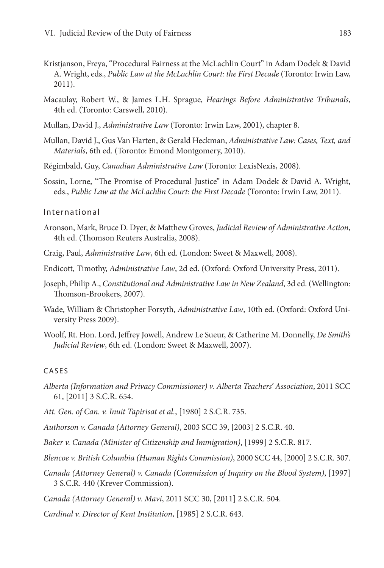- Kristjanson, Freya, "Procedural Fairness at the McLachlin Court" in Adam Dodek & David A. Wright, eds., *Public Law at the McLachlin Court: the First Decade* (Toronto: Irwin Law, 2011).
- Macaulay, Robert W., & James L.H. Sprague, *Hearings Before Administrative Tribunals*, 4th ed. (Toronto: Carswell, 2010).
- Mullan, David J., *Administrative Law* (Toronto: Irwin Law, 2001), chapter 8.
- Mullan, David J., Gus Van Harten, & Gerald Heckman, *Administrative Law: Cases, Text, and Materials*, 6th ed. (Toronto: Emond Montgomery, 2010).
- Régimbald, Guy, *Canadian Administrative Law* (Toronto: LexisNexis, 2008).
- Sossin, Lorne, "The Promise of Procedural Justice" in Adam Dodek & David A. Wright, eds., *Public Law at the McLachlin Court: the First Decade* (Toronto: Irwin Law, 2011).

#### International

- Aronson, Mark, Bruce D. Dyer, & Matthew Groves, *Judicial Review of Administrative Action*, 4th ed. (Thomson Reuters Australia, 2008).
- Craig, Paul, *Administrative Law*, 6th ed. (London: Sweet & Maxwell, 2008).
- Endicott, Timothy, *Administrative Law*, 2d ed. (Oxford: Oxford University Press, 2011).
- Joseph, Philip A., *Constitutional and Administrative Law in New Zealand*, 3d ed. (Wellington: Thomson-Brookers, 2007).
- Wade, William & Christopher Forsyth, *Administrative Law*, 10th ed. (Oxford: Oxford University Press 2009).
- Woolf, Rt. Hon. Lord, Jeffrey Jowell, Andrew Le Sueur, & Catherine M. Donnelly, *De Smith's Judicial Review*, 6th ed. (London: Sweet & Maxwell, 2007).

#### **CASES**

- *Alberta (Information and Privacy Commissioner) v. Alberta Teachers' Association*, 2011 SCC 61, [2011] 3 S.C.R. 654.
- *Att. Gen. of Can. v. Inuit Tapirisat et al.*, [1980] 2 S.C.R. 735.
- *Authorson v. Canada (Attorney General)*, 2003 SCC 39, [2003] 2 S.C.R. 40.
- *Baker v. Canada (Minister of Citizenship and Immigration)*, [1999] 2 S.C.R. 817.
- *Blencoe v. British Columbia (Human Rights Commission)*, 2000 SCC 44, [2000] 2 S.C.R. 307.
- *Canada (Attorney General) v. Canada (Commission of Inquiry on the Blood System)*, [1997] 3 S.C.R. 440 (Krever Commission).
- *Canada (Attorney General) v. Mavi*, 2011 SCC 30, [2011] 2 S.C.R. 504.
- *Cardinal v. Director of Kent Institution*, [1985] 2 S.C.R. 643.